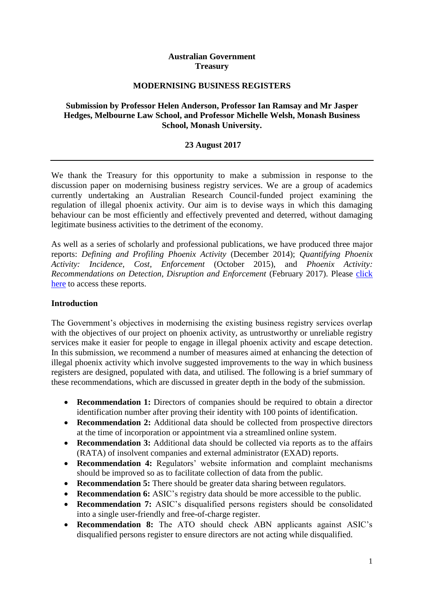## **Australian Government Treasury**

### **MODERNISING BUSINESS REGISTERS**

## **Submission by Professor Helen Anderson, Professor Ian Ramsay and Mr Jasper Hedges, Melbourne Law School, and Professor Michelle Welsh, Monash Business School, Monash University.**

### **23 August 2017**

We thank the Treasury for this opportunity to make a submission in response to the discussion paper on modernising business registry services. We are a group of academics currently undertaking an Australian Research Council-funded project examining the regulation of illegal phoenix activity. Our aim is to devise ways in which this damaging behaviour can be most efficiently and effectively prevented and deterred, without damaging legitimate business activities to the detriment of the economy.

As well as a series of scholarly and professional publications, we have produced three major reports: *Defining and Profiling Phoenix Activity* (December 2014); *Quantifying Phoenix Activity: Incidence, Cost, Enforcement* (October 2015), and *Phoenix Activity: Recommendations on Detection, Disruption and Enforcement* (February 2017). Please [click](http://law.unimelb.edu.au/centres/cclsr/research/major-research-projects/regulating-fraudulent-phoenix-activity)  [here](http://law.unimelb.edu.au/centres/cclsr/research/major-research-projects/regulating-fraudulent-phoenix-activity) to access these reports.

### **Introduction**

The Government's objectives in modernising the existing business registry services overlap with the objectives of our project on phoenix activity, as untrustworthy or unreliable registry services make it easier for people to engage in illegal phoenix activity and escape detection. In this submission, we recommend a number of measures aimed at enhancing the detection of illegal phoenix activity which involve suggested improvements to the way in which business registers are designed, populated with data, and utilised. The following is a brief summary of these recommendations, which are discussed in greater depth in the body of the submission.

- **Recommendation 1:** Directors of companies should be required to obtain a director identification number after proving their identity with 100 points of identification.
- **Recommendation 2:** Additional data should be collected from prospective directors at the time of incorporation or appointment via a streamlined online system.
- **Recommendation 3:** Additional data should be collected via reports as to the affairs (RATA) of insolvent companies and external administrator (EXAD) reports.
- **Recommendation 4:** Regulators' website information and complaint mechanisms should be improved so as to facilitate collection of data from the public.
- **Recommendation 5:** There should be greater data sharing between regulators.
- **Recommendation 6:** ASIC's registry data should be more accessible to the public.
- **Recommendation 7:** ASIC's disqualified persons registers should be consolidated into a single user-friendly and free-of-charge register.
- **Recommendation 8:** The ATO should check ABN applicants against ASIC's disqualified persons register to ensure directors are not acting while disqualified.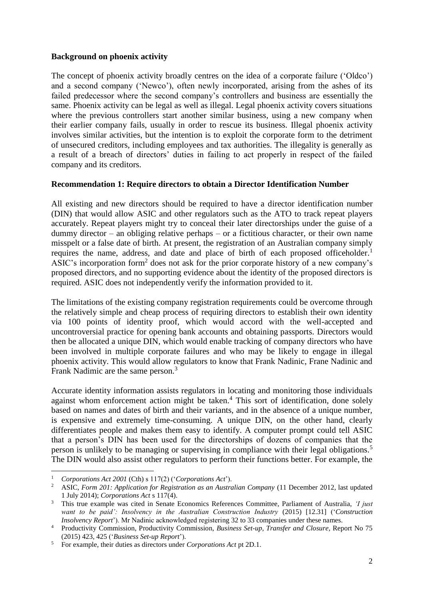## **Background on phoenix activity**

The concept of phoenix activity broadly centres on the idea of a corporate failure ('Oldco') and a second company ('Newco'), often newly incorporated, arising from the ashes of its failed predecessor where the second company's controllers and business are essentially the same. Phoenix activity can be legal as well as illegal. Legal phoenix activity covers situations where the previous controllers start another similar business, using a new company when their earlier company fails, usually in order to rescue its business. Illegal phoenix activity involves similar activities, but the intention is to exploit the corporate form to the detriment of unsecured creditors, including employees and tax authorities. The illegality is generally as a result of a breach of directors' duties in failing to act properly in respect of the failed company and its creditors.

## **Recommendation 1: Require directors to obtain a Director Identification Number**

All existing and new directors should be required to have a director identification number (DIN) that would allow ASIC and other regulators such as the ATO to track repeat players accurately. Repeat players might try to conceal their later directorships under the guise of a dummy director – an obliging relative perhaps – or a fictitious character, or their own name misspelt or a false date of birth. At present, the registration of an Australian company simply requires the name, address, and date and place of birth of each proposed officeholder.<sup>1</sup> ASIC's incorporation form<sup>2</sup> does not ask for the prior corporate history of a new company's proposed directors, and no supporting evidence about the identity of the proposed directors is required. ASIC does not independently verify the information provided to it.

The limitations of the existing company registration requirements could be overcome through the relatively simple and cheap process of requiring directors to establish their own identity via 100 points of identity proof, which would accord with the well-accepted and uncontroversial practice for opening bank accounts and obtaining passports. Directors would then be allocated a unique DIN, which would enable tracking of company directors who have been involved in multiple corporate failures and who may be likely to engage in illegal phoenix activity. This would allow regulators to know that Frank Nadinic, Frane Nadinic and Frank Nadimic are the same person.<sup>3</sup>

<span id="page-1-1"></span><span id="page-1-0"></span>Accurate identity information assists regulators in locating and monitoring those individuals against whom enforcement action might be taken.<sup>4</sup> This sort of identification, done solely based on names and dates of birth and their variants, and in the absence of a unique number, is expensive and extremely time-consuming. A unique DIN, on the other hand, clearly differentiates people and makes them easy to identify. A computer prompt could tell ASIC that a person's DIN has been used for the directorships of dozens of companies that the person is unlikely to be managing or supervising in compliance with their legal obligations.<sup>5</sup> The DIN would also assist other regulators to perform their functions better. For example, the

 $\overline{\phantom{a}}$ 

<sup>1</sup> *Corporations Act 2001* (Cth) s 117(2) ('*Corporations Act*').

<sup>&</sup>lt;sup>2</sup> ASIC, *Form 201: Application for Registration as an Australian Company* (11 December 2012, last updated 1 July 2014); *Corporations Act* s 117(4).

<sup>3</sup> This true example was cited in Senate Economics References Committee, Parliament of Australia, *'I just want to be paid': Insolvency in the Australian Construction Industry* (2015) [12.31] ('*Construction Insolvency Report*'). Mr Nadinic acknowledged registering 32 to 33 companies under these names.

<sup>4</sup> Productivity Commission, Productivity Commission, *Business Set-up, Transfer and Closure*, Report No 75 (2015) 423, 425 ('*Business Set-up Report*').

<sup>5</sup> For example, their duties as directors under *Corporations Act* pt 2D.1.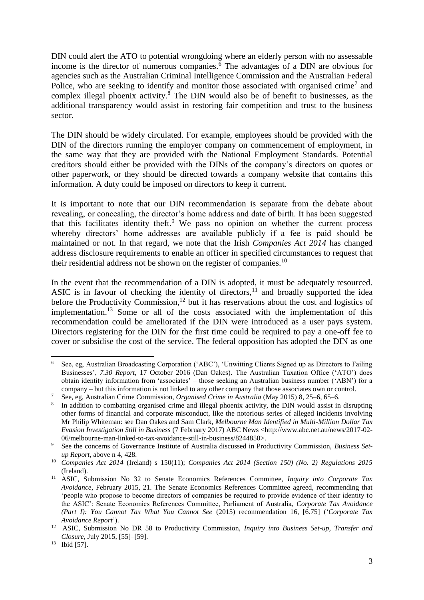DIN could alert the ATO to potential wrongdoing where an elderly person with no assessable income is the director of numerous companies.<sup>6</sup> The advantages of a DIN are obvious for agencies such as the Australian Criminal Intelligence Commission and the Australian Federal Police, who are seeking to identify and monitor those associated with organised crime<sup>7</sup> and complex illegal phoenix activity. $8$  The DIN would also be of benefit to businesses, as the additional transparency would assist in restoring fair competition and trust to the business sector.

The DIN should be widely circulated. For example, employees should be provided with the DIN of the directors running the employer company on commencement of employment, in the same way that they are provided with the National Employment Standards. Potential creditors should either be provided with the DINs of the company's directors on quotes or other paperwork, or they should be directed towards a company website that contains this information. A duty could be imposed on directors to keep it current.

It is important to note that our DIN recommendation is separate from the debate about revealing, or concealing, the director's home address and date of birth. It has been suggested that this facilitates identity theft.<sup>9</sup> We pass no opinion on whether the current process whereby directors' home addresses are available publicly if a fee is paid should be maintained or not. In that regard, we note that the Irish *Companies Act 2014* has changed address disclosure requirements to enable an officer in specified circumstances to request that their residential address not be shown on the register of companies.<sup>10</sup>

<span id="page-2-0"></span>In the event that the recommendation of a DIN is adopted, it must be adequately resourced. ASIC is in favour of checking the identity of directors,<sup>11</sup> and broadly supported the idea before the Productivity Commission,<sup>12</sup> but it has reservations about the cost and logistics of implementation.<sup>13</sup> Some or all of the costs associated with the implementation of this recommendation could be ameliorated if the DIN were introduced as a user pays system. Directors registering for the DIN for the first time could be required to pay a one-off fee to cover or subsidise the cost of the service. The federal opposition has adopted the DIN as one

 $6\,$ <sup>6</sup> See, eg, Australian Broadcasting Corporation ('ABC'), 'Unwitting Clients Signed up as Directors to Failing Businesses', *7.30 Report*, 17 October 2016 (Dan Oakes). The Australian Taxation Office ('ATO') does obtain identity information from 'associates' – those seeking an Australian business number ('ABN') for a company – but this information is not linked to any other company that those associates own or control.

<sup>7</sup> See, eg, Australian Crime Commission, *Organised Crime in Australia* (May 2015) 8, 25–6, 65–6.

<sup>8</sup> In addition to combatting organised crime and illegal phoenix activity, the DIN would assist in disrupting other forms of financial and corporate misconduct, like the notorious series of alleged incidents involving Mr Philip Whiteman: see Dan Oakes and Sam Clark, *Melbourne Man Identified in Multi-Million Dollar Tax Evasion Investigation Still in Business* (7 February 2017) ABC News [<http://www.abc.net.au/news/2017-02-](http://www.abc.net.au/news/2017-02-06/melbourne-man-linked-to-tax-avoidance-still-in-business/8244850) [06/melbourne-man-linked-to-tax-avoidance-still-in-business/8244850>](http://www.abc.net.au/news/2017-02-06/melbourne-man-linked-to-tax-avoidance-still-in-business/8244850).

<sup>9</sup> See the concerns of Governance Institute of Australia discussed in Productivity Commission, *Business Setup Report*, above n [4,](#page-1-0) 428.

<sup>10</sup> *Companies Act 2014* (Ireland) s 150(11); *Companies Act 2014 (Section 150) (No. 2) Regulations 2015* (Ireland).

<sup>11</sup> ASIC, Submission No 32 to Senate Economics References Committee, *Inquiry into Corporate Tax Avoidance*, February 2015, 21. The Senate Economics References Committee agreed, recommending that 'people who propose to become directors of companies be required to provide evidence of their identity to the ASIC': Senate Economics References Committee, Parliament of Australia, *Corporate Tax Avoidance (Part I): You Cannot Tax What You Cannot See* (2015) recommendation 16, [6.75] ('*Corporate Tax Avoidance Report*').

<sup>&</sup>lt;sup>12</sup> ASIC, Submission No DR 58 to Productivity Commission, *Inquiry into Business Set-up, Transfer and Closure*, July 2015, [55]–[59].

<sup>13</sup> Ibid [57].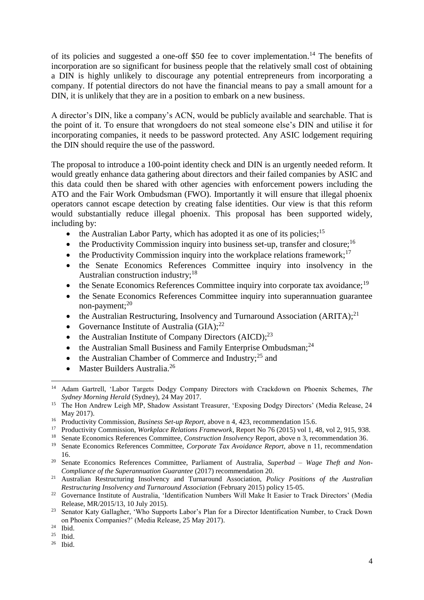of its policies and suggested a one-off \$50 fee to cover implementation.<sup>14</sup> The benefits of incorporation are so significant for business people that the relatively small cost of obtaining a DIN is highly unlikely to discourage any potential entrepreneurs from incorporating a company. If potential directors do not have the financial means to pay a small amount for a DIN, it is unlikely that they are in a position to embark on a new business.

A director's DIN, like a company's ACN, would be publicly available and searchable. That is the point of it. To ensure that wrongdoers do not steal someone else's DIN and utilise it for incorporating companies, it needs to be password protected. Any ASIC lodgement requiring the DIN should require the use of the password.

The proposal to introduce a 100-point identity check and DIN is an urgently needed reform. It would greatly enhance data gathering about directors and their failed companies by ASIC and this data could then be shared with other agencies with enforcement powers including the ATO and the Fair Work Ombudsman (FWO). Importantly it will ensure that illegal phoenix operators cannot escape detection by creating false identities. Our view is that this reform would substantially reduce illegal phoenix. This proposal has been supported widely, including by:

- $\bullet$  the Australian Labor Party, which has adopted it as one of its policies;<sup>15</sup>
- $\bullet$  the Productivity Commission inquiry into business set-up, transfer and closure;<sup>16</sup>
- the Productivity Commission inquiry into the workplace relations framework;<sup>17</sup>
- the Senate Economics References Committee inquiry into insolvency in the Australian construction industry;<sup>18</sup>
- $\bullet$  the Senate Economics References Committee inquiry into corporate tax avoidance;<sup>19</sup>
- the Senate Economics References Committee inquiry into superannuation guarantee non-payment;<sup>20</sup>
- the Australian Restructuring, Insolvency and Turnaround Association (ARITA): $^{21}$
- Governance Institute of Australia  $(GIA)$ ;<sup>22</sup>
- the Australian Institute of Company Directors  $(AICD)$ ;<sup>23</sup>
- the Australian Small Business and Family Enterprise Ombudsman;<sup>24</sup>
- the Australian Chamber of Commerce and Industry;<sup>25</sup> and
- Master Builders Australia.<sup>26</sup>

<sup>14</sup> Adam Gartrell, 'Labor Targets Dodgy Company Directors with Crackdown on Phoenix Schemes, *The Sydney Morning Herald* (Sydney), 24 May 2017.

<sup>&</sup>lt;sup>15</sup> The Hon Andrew Leigh MP, Shadow Assistant Treasurer, 'Exposing Dodgy Directors' (Media Release, 24 May 2017).

<sup>&</sup>lt;sup>16</sup> Productivity Commission, *Business Set-up Report*, above n [4](#page-1-0), 423, recommendation 15.6.<br><sup>17</sup> Productivity Commission, *Workplace Relations Framework*, Report No. 76 (2015) vol 1-4

<sup>17</sup> Productivity Commission, *Workplace Relations Framework*, Report No 76 (2015) vol 1, 48, vol 2, 915, 938.

<sup>&</sup>lt;sup>18</sup> Senate Economics References Committee, *Construction Insolvency* Report, above [n 3,](#page-1-1) recommendation 36.

<sup>19</sup> Senate Economics References Committee, *Corporate Tax Avoidance Report*, above n [11,](#page-2-0) recommendation 16.

<sup>20</sup> Senate Economics References Committee, Parliament of Australia, *Superbad – Wage Theft and Non-Compliance of the Superannuation Guarantee* (2017) recommendation 20.

<sup>21</sup> Australian Restructuring Insolvency and Turnaround Association, *Policy Positions of the Australian Restructuring Insolvency and Turnaround Association* (February 2015) policy 15-05.

<sup>&</sup>lt;sup>22</sup> Governance Institute of Australia, 'Identification Numbers Will Make It Easier to Track Directors' (Media Release, MR/2015/13, 10 July 2015).

<sup>&</sup>lt;sup>23</sup> Senator Katy Gallagher, 'Who Supports Labor's Plan for a Director Identification Number, to Crack Down on Phoenix Companies?' (Media Release, 25 May 2017).

 $24$  Ibid.

 $25$  Ibid.

 $26$  Ibid.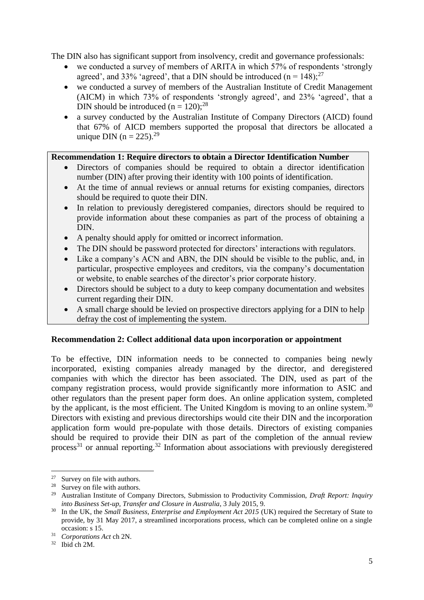The DIN also has significant support from insolvency, credit and governance professionals:

- we conducted a survey of members of ARITA in which 57% of respondents 'strongly agreed', and 33% 'agreed', that a DIN should be introduced  $(n = 148)$ ;<sup>27</sup>
- we conducted a survey of members of the Australian Institute of Credit Management (AICM) in which 73% of respondents 'strongly agreed', and 23% 'agreed', that a DIN should be introduced  $(n = 120)$ ;<sup>28</sup>
- a survey conducted by the Australian Institute of Company Directors (AICD) found that 67% of AICD members supported the proposal that directors be allocated a unique DIN (n = 225).<sup>29</sup>

## **Recommendation 1: Require directors to obtain a Director Identification Number**

- Directors of companies should be required to obtain a director identification number (DIN) after proving their identity with 100 points of identification.
- At the time of annual reviews or annual returns for existing companies, directors should be required to quote their DIN.
- In relation to previously deregistered companies, directors should be required to provide information about these companies as part of the process of obtaining a DIN.
- A penalty should apply for omitted or incorrect information.
- The DIN should be password protected for directors' interactions with regulators.
- Like a company's ACN and ABN, the DIN should be visible to the public, and, in particular, prospective employees and creditors, via the company's documentation or website, to enable searches of the director's prior corporate history.
- Directors should be subject to a duty to keep company documentation and websites current regarding their DIN.
- A small charge should be levied on prospective directors applying for a DIN to help defray the cost of implementing the system.

## **Recommendation 2: Collect additional data upon incorporation or appointment**

To be effective, DIN information needs to be connected to companies being newly incorporated, existing companies already managed by the director, and deregistered companies with which the director has been associated. The DIN, used as part of the company registration process, would provide significantly more information to ASIC and other regulators than the present paper form does. An online application system, completed by the applicant, is the most efficient. The United Kingdom is moving to an online system.<sup>30</sup> Directors with existing and previous directorships would cite their DIN and the incorporation application form would pre-populate with those details. Directors of existing companies should be required to provide their DIN as part of the completion of the annual review process<sup>31</sup> or annual reporting.<sup>32</sup> Information about associations with previously deregistered

 $\overline{\phantom{a}}$ <sup>27</sup> Survey on file with authors.

<sup>&</sup>lt;sup>28</sup> Survey on file with authors.

<sup>29</sup> Australian Institute of Company Directors, Submission to Productivity Commission, *Draft Report: Inquiry into Business Set-up, Transfer and Closure in Australia*, 3 July 2015, 9.

<sup>&</sup>lt;sup>30</sup> In the UK, the *Small Business, Enterprise and Employment Act 2015* (UK) required the Secretary of State to provide, by 31 May 2017, a streamlined incorporations process, which can be completed online on a single occasion: s 15.

<sup>31</sup> *Corporations Act* ch 2N.

 $32$  Ibid ch 2M.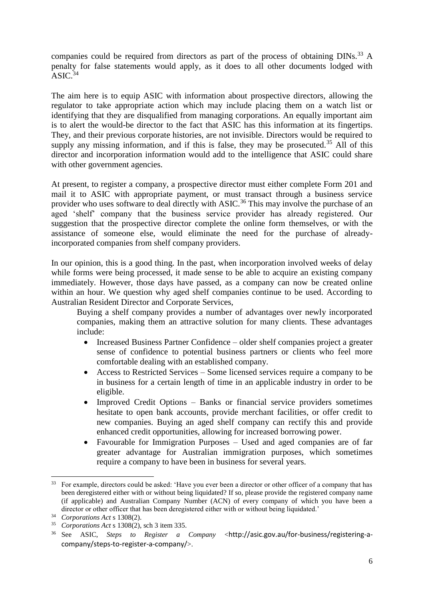companies could be required from directors as part of the process of obtaining DINs.<sup>33</sup> A penalty for false statements would apply, as it does to all other documents lodged with  $ASIC^{34}$ 

The aim here is to equip ASIC with information about prospective directors, allowing the regulator to take appropriate action which may include placing them on a watch list or identifying that they are disqualified from managing corporations. An equally important aim is to alert the would-be director to the fact that ASIC has this information at its fingertips. They, and their previous corporate histories, are not invisible. Directors would be required to supply any missing information, and if this is false, they may be prosecuted.<sup>35</sup> All of this director and incorporation information would add to the intelligence that ASIC could share with other government agencies.

At present, to register a company, a prospective director must either complete Form 201 and mail it to ASIC with appropriate payment, or must transact through a business service provider who uses software to deal directly with ASIC.<sup>36</sup> This may involve the purchase of an aged 'shelf' company that the business service provider has already registered. Our suggestion that the prospective director complete the online form themselves, or with the assistance of someone else, would eliminate the need for the purchase of alreadyincorporated companies from shelf company providers.

In our opinion, this is a good thing. In the past, when incorporation involved weeks of delay while forms were being processed, it made sense to be able to acquire an existing company immediately. However, those days have passed, as a company can now be created online within an hour. We question why aged shelf companies continue to be used. According to Australian Resident Director and Corporate Services,

Buying a shelf company provides a number of advantages over newly incorporated companies, making them an attractive solution for many clients. These advantages include:

- Increased Business Partner Confidence older shelf companies project a greater sense of confidence to potential business partners or clients who feel more comfortable dealing with an established company.
- Access to Restricted Services Some licensed services require a company to be in business for a certain length of time in an applicable industry in order to be eligible.
- Improved Credit Options Banks or financial service providers sometimes hesitate to open bank accounts, provide merchant facilities, or offer credit to new companies. Buying an aged shelf company can rectify this and provide enhanced credit opportunities, allowing for increased borrowing power.
- Favourable for Immigration Purposes Used and aged companies are of far greater advantage for Australian immigration purposes, which sometimes require a company to have been in business for several years.

<sup>&</sup>lt;sup>33</sup> For example, directors could be asked: 'Have you ever been a director or other officer of a company that has been deregistered either with or without being liquidated? If so, please provide the registered company name (if applicable) and Australian Company Number (ACN) of every company of which you have been a director or other officer that has been deregistered either with or without being liquidated.'

<sup>34</sup> *Corporations Act* s 1308(2).

<sup>35</sup> *Corporations Act* s 1308(2), sch 3 item 335.

<sup>36</sup> See ASIC, *Steps to Register a Company* <[http://asic.gov.au/for-business/registering-a](http://asic.gov.au/for-business/registering-a-company/steps-to-register-a-company/)[company/steps-to-register-a-company/](http://asic.gov.au/for-business/registering-a-company/steps-to-register-a-company/)>.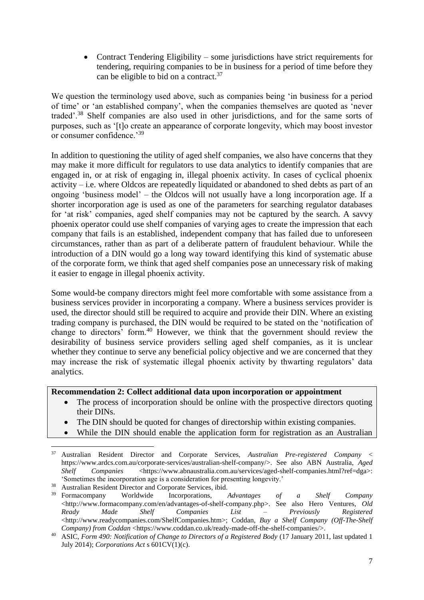• Contract Tendering Eligibility – some jurisdictions have strict requirements for tendering, requiring companies to be in business for a period of time before they can be eligible to bid on a contract.<sup>37</sup>

We question the terminology used above, such as companies being 'in business for a period of time' or 'an established company', when the companies themselves are quoted as 'never traded'.<sup>38</sup> Shelf companies are also used in other jurisdictions, and for the same sorts of purposes, such as '[t]o create an appearance of corporate longevity, which may boost investor or consumer confidence.'<sup>39</sup>

In addition to questioning the utility of aged shelf companies, we also have concerns that they may make it more difficult for regulators to use data analytics to identify companies that are engaged in, or at risk of engaging in, illegal phoenix activity. In cases of cyclical phoenix activity – i.e. where Oldcos are repeatedly liquidated or abandoned to shed debts as part of an ongoing 'business model' – the Oldcos will not usually have a long incorporation age. If a shorter incorporation age is used as one of the parameters for searching regulator databases for 'at risk' companies, aged shelf companies may not be captured by the search. A savvy phoenix operator could use shelf companies of varying ages to create the impression that each company that fails is an established, independent company that has failed due to unforeseen circumstances, rather than as part of a deliberate pattern of fraudulent behaviour. While the introduction of a DIN would go a long way toward identifying this kind of systematic abuse of the corporate form, we think that aged shelf companies pose an unnecessary risk of making it easier to engage in illegal phoenix activity.

Some would-be company directors might feel more comfortable with some assistance from a business services provider in incorporating a company. Where a business services provider is used, the director should still be required to acquire and provide their DIN. Where an existing trading company is purchased, the DIN would be required to be stated on the 'notification of change to directors' form.<sup>40</sup> However, we think that the government should review the desirability of business service providers selling aged shelf companies, as it is unclear whether they continue to serve any beneficial policy objective and we are concerned that they may increase the risk of systematic illegal phoenix activity by thwarting regulators' data analytics.

#### **Recommendation 2: Collect additional data upon incorporation or appointment**

- The process of incorporation should be online with the prospective directors quoting their DINs.
- The DIN should be quoted for changes of directorship within existing companies.
- While the DIN should enable the application form for registration as an Australian

<sup>37</sup> Australian Resident Director and Corporate Services, *Australian Pre-registered Company* < [https://www.ardcs.com.au/corporate-services/australian-shelf-company/>](https://www.ardcs.com.au/corporate-services/australian-shelf-company/). See also ABN Australia, *Aged Shelf* Companies [<https://www.abnaustralia.com.au/services/aged-shelf-companies.html?ref=dga>](https://www.abnaustralia.com.au/services/aged-shelf-companies.html?ref=dga): 'Sometimes the incorporation age is a consideration for presenting longevity.'

<sup>&</sup>lt;sup>38</sup> Australian Resident Director and Corporate Services, ibid.

<sup>39</sup> Formacompany Worldwide Incorporations, *Advantages of a Shelf Company* [<http://www.formacompany.com/en/advantages-of-shelf-company.php>](http://www.formacompany.com/en/advantages-of-shelf-company.php). See also Hero Ventures, *Old Ready Made Shelf Companies List – Previously Registered* [<http://www.readycompanies.com/ShelfCompanies.htm>](http://www.readycompanies.com/ShelfCompanies.htm); Coddan, *Buy a Shelf Company (Off-The-Shelf Company) from Coddan* [<https://www.coddan.co.uk/ready-made-off-the-shelf-companies/>](https://www.coddan.co.uk/ready-made-off-the-shelf-companies/).

<sup>40</sup> ASIC, *Form 490: Notification of Change to Directors of a Registered Body* (17 January 2011, last updated 1 July 2014); *Corporations Act* s 601CV(1)(c).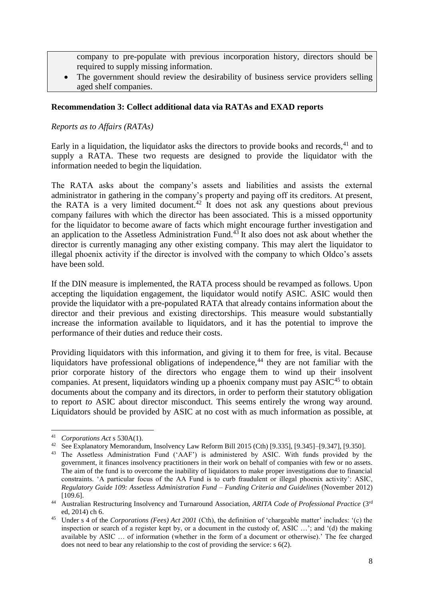company to pre-populate with previous incorporation history, directors should be required to supply missing information.

 The government should review the desirability of business service providers selling aged shelf companies.

### **Recommendation 3: Collect additional data via RATAs and EXAD reports**

## *Reports as to Affairs (RATAs)*

Early in a liquidation, the liquidator asks the directors to provide books and records,<sup>41</sup> and to supply a RATA. These two requests are designed to provide the liquidator with the information needed to begin the liquidation.

The RATA asks about the company's assets and liabilities and assists the external administrator in gathering in the company's property and paying off its creditors. At present, the RATA is a very limited document.<sup>42</sup> It does not ask any questions about previous company failures with which the director has been associated. This is a missed opportunity for the liquidator to become aware of facts which might encourage further investigation and an application to the Assetless Administration Fund.<sup>43</sup> It also does not ask about whether the director is currently managing any other existing company. This may alert the liquidator to illegal phoenix activity if the director is involved with the company to which Oldco's assets have been sold.

If the DIN measure is implemented, the RATA process should be revamped as follows. Upon accepting the liquidation engagement, the liquidator would notify ASIC. ASIC would then provide the liquidator with a pre-populated RATA that already contains information about the director and their previous and existing directorships. This measure would substantially increase the information available to liquidators, and it has the potential to improve the performance of their duties and reduce their costs.

Providing liquidators with this information, and giving it to them for free, is vital. Because liquidators have professional obligations of independence,  $44$  they are not familiar with the prior corporate history of the directors who engage them to wind up their insolvent companies. At present, liquidators winding up a phoenix company must pay  $ASIC<sup>45</sup>$  to obtain documents about the company and its directors, in order to perform their statutory obligation to report *to* ASIC about director misconduct. This seems entirely the wrong way around. Liquidators should be provided by ASIC at no cost with as much information as possible, at

**<sup>.</sup>** <sup>41</sup> *Corporations Act* s 530A(1).

<sup>42</sup> See Explanatory Memorandum, Insolvency Law Reform Bill 2015 (Cth) [9.335], [9.345]–[9.347], [9.350].

<sup>43</sup> The Assetless Administration Fund ('AAF') is administered by ASIC. With funds provided by the government, it finances insolvency practitioners in their work on behalf of companies with few or no assets. The aim of the fund is to overcome the inability of liquidators to make proper investigations due to financial constraints. 'A particular focus of the AA Fund is to curb fraudulent or illegal phoenix activity': ASIC, *Regulatory Guide 109: Assetless Administration Fund – Funding Criteria and Guidelines* (November 2012) [109.6].

<sup>44</sup> Australian Restructuring Insolvency and Turnaround Association, *ARITA Code of Professional Practice* (3rd ed, 2014) ch 6.

<sup>&</sup>lt;sup>45</sup> Under s 4 of the *Corporations (Fees) Act 2001* (Cth), the definition of 'chargeable matter' includes: '(c) the inspection or search of a register kept by, or a document in the custody of, ASIC …'; and '(d) the making available by ASIC … of information (whether in the form of a document or otherwise).' The fee charged does not need to bear any relationship to the cost of providing the service: s 6(2).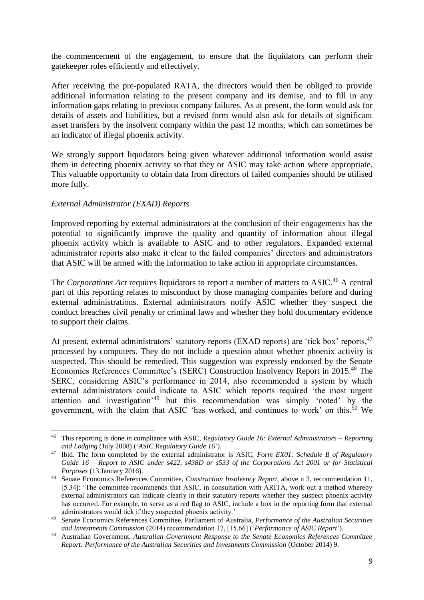the commencement of the engagement, to ensure that the liquidators can perform their gatekeeper roles efficiently and effectively.

After receiving the pre-populated RATA, the directors would then be obliged to provide additional information relating to the present company and its demise, and to fill in any information gaps relating to previous company failures. As at present, the form would ask for details of assets and liabilities, but a revised form would also ask for details of significant asset transfers by the insolvent company within the past 12 months, which can sometimes be an indicator of illegal phoenix activity.

We strongly support liquidators being given whatever additional information would assist them in detecting phoenix activity so that they or ASIC may take action where appropriate. This valuable opportunity to obtain data from directors of failed companies should be utilised more fully.

## *External Administrator (EXAD) Reports*

<span id="page-8-2"></span><span id="page-8-0"></span>**.** 

Improved reporting by external administrators at the conclusion of their engagements has the potential to significantly improve the quality and quantity of information about illegal phoenix activity which is available to ASIC and to other regulators. Expanded external administrator reports also make it clear to the failed companies' directors and administrators that ASIC will be armed with the information to take action in appropriate circumstances.

<span id="page-8-1"></span>The *Corporations Act* requires liquidators to report a number of matters to ASIC.<sup>46</sup> A central part of this reporting relates to misconduct by those managing companies before and during external administrations. External administrators notify ASIC whether they suspect the conduct breaches civil penalty or criminal laws and whether they hold documentary evidence to support their claims.

At present, external administrators' statutory reports (EXAD reports) are 'tick box' reports, <sup>47</sup> processed by computers. They do not include a question about whether phoenix activity is suspected. This should be remedied. This suggestion was expressly endorsed by the Senate Economics References Committee's (SERC) Construction Insolvency Report in 2015.<sup>48</sup> The SERC, considering ASIC's performance in 2014, also recommended a system by which external administrators could indicate to ASIC which reports required 'the most urgent attention and investigation'<sup>49</sup> but this recommendation was simply 'noted' by the government, with the claim that ASIC 'has worked, and continues to work' on this.<sup>50</sup> We

<sup>46</sup> This reporting is done in compliance with ASIC, *Regulatory Guide 16: External Administrators – Reporting and Lodging* (July 2008) ('*ASIC Regulatory Guide 16*').

<sup>47</sup> Ibid. The form completed by the external administrator is ASIC, *Form EX01: Schedule B of Regulatory Guide 16 – Report to ASIC under s422, s438D or s533 of the Corporations Act 2001 or for Statistical Purposes* (13 January 2016).

<sup>48</sup> Senate Economics References Committee, *Construction Insolvency Report*, above n [3,](#page-1-1) recommendation 11, [5.34]: 'The committee recommends that ASIC, in consultation with ARITA, work out a method whereby external administrators can indicate clearly in their statutory reports whether they suspect phoenix activity has occurred. For example, to serve as a red flag to ASIC, include a box in the reporting form that external administrators would tick if they suspected phoenix activity.'

<sup>49</sup> Senate Economics References Committee, Parliament of Australia, *Performance of the Australian Securities and Investments Commission* (2014) recommendation 17, [15.66] ('*Performance of ASIC Report*').

<sup>50</sup> Australian Government, *Australian Government Response to the Senate Economics References Committee Report: Performance of the Australian Securities and Investments Commission* (October 2014) 9.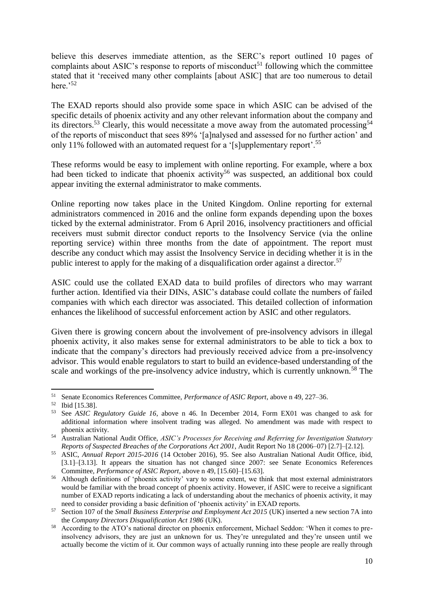believe this deserves immediate attention, as the SERC's report outlined 10 pages of complaints about ASIC's response to reports of misconduct<sup>51</sup> following which the committee stated that it 'received many other complaints [about ASIC] that are too numerous to detail here. $52$ 

The EXAD reports should also provide some space in which ASIC can be advised of the specific details of phoenix activity and any other relevant information about the company and its directors.<sup>53</sup> Clearly, this would necessitate a move away from the automated processing<sup>54</sup> of the reports of misconduct that sees 89% '[a]nalysed and assessed for no further action' and only 11% followed with an automated request for a '[s]upplementary report'.<sup>55</sup>

These reforms would be easy to implement with online reporting. For example, where a box had been ticked to indicate that phoenix activity<sup>56</sup> was suspected, an additional box could appear inviting the external administrator to make comments.

Online reporting now takes place in the United Kingdom. Online reporting for external administrators commenced in 2016 and the online form expands depending upon the boxes ticked by the external administrator. From 6 April 2016, insolvency practitioners and official receivers must submit director conduct reports to the Insolvency Service (via the online reporting service) within three months from the date of appointment. The report must describe any conduct which may assist the Insolvency Service in deciding whether it is in the public interest to apply for the making of a disqualification order against a director.<sup>57</sup>

ASIC could use the collated EXAD data to build profiles of directors who may warrant further action. Identified via their DINs, ASIC's database could collate the numbers of failed companies with which each director was associated. This detailed collection of information enhances the likelihood of successful enforcement action by ASIC and other regulators.

Given there is growing concern about the involvement of pre-insolvency advisors in illegal phoenix activity, it also makes sense for external administrators to be able to tick a box to indicate that the company's directors had previously received advice from a pre-insolvency advisor. This would enable regulators to start to build an evidence-based understanding of the scale and workings of the pre-insolvency advice industry, which is currently unknown.<sup>58</sup> The

**<sup>.</sup>** <sup>51</sup> Senate Economics References Committee, *Performance of ASIC Report*, above n [49,](#page-8-0) 227–36.

 $^{52}$  Ibid [15.38].<br> $^{53}$  See ASIC R

<sup>53</sup> See *ASIC Regulatory Guide 16*, above n [46.](#page-8-1) In December 2014, Form EX01 was changed to ask for additional information where insolvent trading was alleged. No amendment was made with respect to phoenix activity.

<sup>54</sup> Australian National Audit Office, *ASIC's Processes for Receiving and Referring for Investigation Statutory Reports of Suspected Breaches of the Corporations Act 2001*, Audit Report No 18 (2006–07) [2.7]–[2.12].

<sup>55</sup> ASIC, *Annual Report 2015-2016* (14 October 2016), 95. See also Australian National Audit Office, ibid, [3.1]–[3.13]. It appears the situation has not changed since 2007: see Senate Economics References Committee, *Performance of ASIC Report*, above n [49,](#page-8-0) [15.60]–[15.63].

<sup>56</sup> Although definitions of 'phoenix activity' vary to some extent, we think that most external administrators would be familiar with the broad concept of phoenix activity. However, if ASIC were to receive a significant number of EXAD reports indicating a lack of understanding about the mechanics of phoenix activity, it may need to consider providing a basic definition of 'phoenix activity' in EXAD reports.

<sup>57</sup> Section 107 of the *Small Business Enterprise and Employment Act 2015* (UK) inserted a new section 7A into the *Company Directors Disqualification Act 1986* (UK).

<sup>58</sup> According to the ATO's national director on phoenix enforcement, Michael Seddon: 'When it comes to preinsolvency advisors, they are just an unknown for us. They're unregulated and they're unseen until we actually become the victim of it. Our common ways of actually running into these people are really through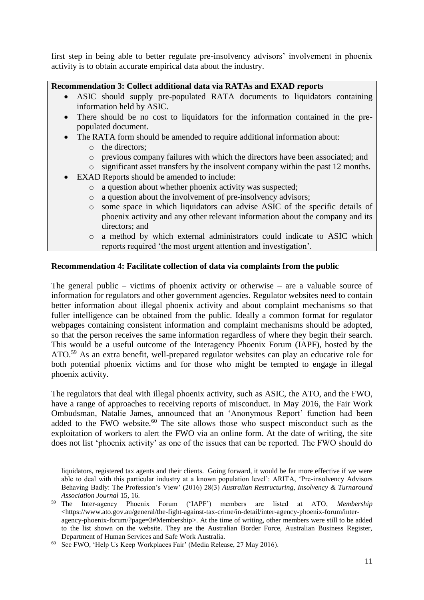first step in being able to better regulate pre-insolvency advisors' involvement in phoenix activity is to obtain accurate empirical data about the industry.

### **Recommendation 3: Collect additional data via RATAs and EXAD reports**

- ASIC should supply pre-populated RATA documents to liquidators containing information held by ASIC.
- There should be no cost to liquidators for the information contained in the prepopulated document.
- The RATA form should be amended to require additional information about:
	- o the directors;

**.** 

- o previous company failures with which the directors have been associated; and
- o significant asset transfers by the insolvent company within the past 12 months.
- EXAD Reports should be amended to include:
	- o a question about whether phoenix activity was suspected;
	- o a question about the involvement of pre-insolvency advisors;
	- o some space in which liquidators can advise ASIC of the specific details of phoenix activity and any other relevant information about the company and its directors; and
	- o a method by which external administrators could indicate to ASIC which reports required 'the most urgent attention and investigation'.

## **Recommendation 4: Facilitate collection of data via complaints from the public**

The general public – victims of phoenix activity or otherwise – are a valuable source of information for regulators and other government agencies. Regulator websites need to contain better information about illegal phoenix activity and about complaint mechanisms so that fuller intelligence can be obtained from the public. Ideally a common format for regulator webpages containing consistent information and complaint mechanisms should be adopted, so that the person receives the same information regardless of where they begin their search. This would be a useful outcome of the Interagency Phoenix Forum (IAPF), hosted by the ATO.<sup>59</sup> As an extra benefit, well-prepared regulator websites can play an educative role for both potential phoenix victims and for those who might be tempted to engage in illegal phoenix activity.

<span id="page-10-0"></span>The regulators that deal with illegal phoenix activity, such as ASIC, the ATO, and the FWO, have a range of approaches to receiving reports of misconduct. In May 2016, the Fair Work Ombudsman, Natalie James, announced that an 'Anonymous Report' function had been added to the FWO website.<sup>60</sup> The site allows those who suspect misconduct such as the exploitation of workers to alert the FWO via an online form. At the date of writing, the site does not list 'phoenix activity' as one of the issues that can be reported. The FWO should do

liquidators, registered tax agents and their clients. Going forward, it would be far more effective if we were able to deal with this particular industry at a known population level': ARITA, 'Pre-insolvency Advisors Behaving Badly: The Profession's View' (2016) 28(3) *Australian Restructuring, Insolvency & Turnaround Association Journal* 15, 16.

<sup>59</sup> The Inter-agency Phoenix Forum ('IAPF') members are listed at ATO, *Membership* [<https://www.ato.gov.au/general/the-fight-against-tax-crime/in-detail/inter-agency-phoenix-forum/inter](https://www.ato.gov.au/general/the-fight-against-tax-crime/in-detail/inter-agency-phoenix-forum/inter-agency-phoenix-forum/?page=3#Membership)[agency-phoenix-forum/?page=3#Membership>](https://www.ato.gov.au/general/the-fight-against-tax-crime/in-detail/inter-agency-phoenix-forum/inter-agency-phoenix-forum/?page=3#Membership). At the time of writing, other members were still to be added to the list shown on the website. They are the Australian Border Force, Australian Business Register, Department of Human Services and Safe Work Australia.

<sup>&</sup>lt;sup>60</sup> See FWO, 'Help Us Keep Workplaces Fair' (Media Release, 27 May 2016).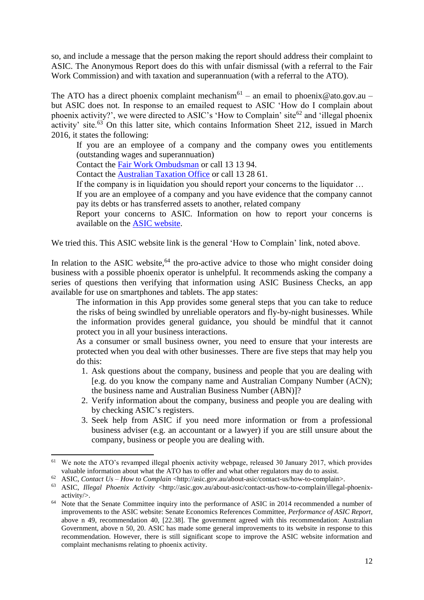so, and include a message that the person making the report should address their complaint to ASIC. The Anonymous Report does do this with unfair dismissal (with a referral to the Fair Work Commission) and with taxation and superannuation (with a referral to the ATO).

The ATO has a direct phoenix complaint mechanism<sup>61</sup> – an email to phoenix@ato.gov.au – but ASIC does not. In response to an emailed request to ASIC 'How do I complain about phoenix activity?', we were directed to ASIC's 'How to Complain' site<sup>62</sup> and 'illegal phoenix activity' site. $63$  On this latter site, which contains Information Sheet 212, issued in March 2016, it states the following:

<span id="page-11-0"></span>If you are an employee of a company and the company owes you entitlements (outstanding wages and superannuation)

Contact the [Fair Work Ombudsman](https://www.fairwork.gov.au/) or call 13 13 94.

Contact the **Australian Taxation Office** or call 13 28 61.

If the company is in liquidation you should report your concerns to the liquidator …

If you are an employee of a company and you have evidence that the company cannot pay its debts or has transferred assets to another, related company

Report your concerns to ASIC. Information on how to report your concerns is available on the [ASIC website.](http://asic.gov.au/about-asic/contact-us/how-to-complain/)

We tried this. This ASIC website link is the general 'How to Complain' link, noted above.

In relation to the ASIC website,<sup>64</sup> the pro-active advice to those who might consider doing business with a possible phoenix operator is unhelpful. It recommends asking the company a series of questions then verifying that information using ASIC Business Checks, an app available for use on smartphones and tablets. The app states:

The information in this App provides some general steps that you can take to reduce the risks of being swindled by unreliable operators and fly-by-night businesses. While the information provides general guidance, you should be mindful that it cannot protect you in all your business interactions.

As a consumer or small business owner, you need to ensure that your interests are protected when you deal with other businesses. There are five steps that may help you do this:

- 1. Ask questions about the company, business and people that you are dealing with [e.g. do you know the company name and Australian Company Number (ACN); the business name and Australian Business Number (ABN)]?
- 2. Verify information about the company, business and people you are dealing with by checking ASIC's registers.
- 3. Seek help from ASIC if you need more information or from a professional business adviser (e.g. an accountant or a lawyer) if you are still unsure about the company, business or people you are dealing with.

1

<sup>&</sup>lt;sup>61</sup> We note the ATO's revamped illegal phoenix activity webpage, released 30 January 2017, which provides valuable information about what the ATO has to offer and what other regulators may do to assist.

<sup>62</sup> ASIC, *Contact Us – How to Complain* [<http://asic.gov.au/about-asic/contact-us/how-to-complain>](http://asic.gov.au/about-asic/contact-us/how-to-complain).

<sup>&</sup>lt;sup>63</sup> ASIC, *Illegal Phoenix Activity* [<http://asic.gov.au/about-asic/contact-us/how-to-complain/illegal-phoenix](http://asic.gov.au/about-asic/contact-us/how-to-complain/illegal-phoenix-activity/)[activity/>](http://asic.gov.au/about-asic/contact-us/how-to-complain/illegal-phoenix-activity/).

<sup>&</sup>lt;sup>64</sup> Note that the Senate Committee inquiry into the performance of ASIC in 2014 recommended a number of improvements to the ASIC website: Senate Economics References Committee, *Performance of ASIC Report*, above n [49,](#page-8-0) recommendation 40, [22.38]. The government agreed with this recommendation: Australian Government, above n [50,](#page-8-2) 20. ASIC has made some general improvements to its website in response to this recommendation. However, there is still significant scope to improve the ASIC website information and complaint mechanisms relating to phoenix activity.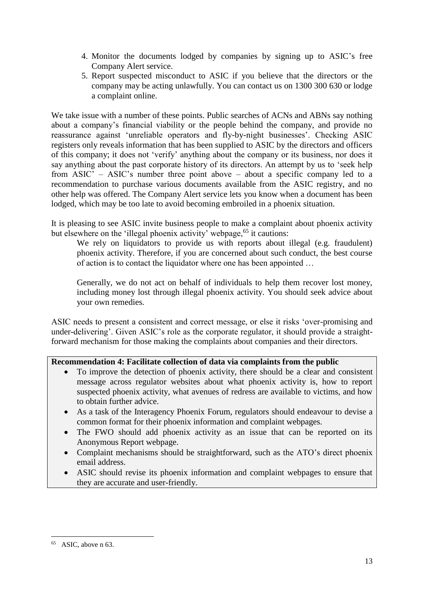- 4. Monitor the documents lodged by companies by signing up to ASIC's free Company Alert service.
- 5. Report suspected misconduct to ASIC if you believe that the directors or the company may be acting unlawfully. You can contact us on 1300 300 630 or lodge a complaint online.

We take issue with a number of these points. Public searches of ACNs and ABNs say nothing about a company's financial viability or the people behind the company, and provide no reassurance against 'unreliable operators and fly-by-night businesses'. Checking ASIC registers only reveals information that has been supplied to ASIC by the directors and officers of this company; it does not 'verify' anything about the company or its business, nor does it say anything about the past corporate history of its directors. An attempt by us to 'seek help from ASIC' – ASIC's number three point above – about a specific company led to a recommendation to purchase various documents available from the ASIC registry, and no other help was offered. The Company Alert service lets you know when a document has been lodged, which may be too late to avoid becoming embroiled in a phoenix situation.

It is pleasing to see ASIC invite business people to make a complaint about phoenix activity but elsewhere on the 'illegal phoenix activity' webpage,<sup>65</sup> it cautions:

We rely on liquidators to provide us with reports about illegal (e.g. fraudulent) phoenix activity. Therefore, if you are concerned about such conduct, the best course of action is to contact the liquidator where one has been appointed …

Generally, we do not act on behalf of individuals to help them recover lost money, including money lost through illegal phoenix activity. You should seek advice about your own remedies.

ASIC needs to present a consistent and correct message, or else it risks 'over-promising and under-delivering'. Given ASIC's role as the corporate regulator, it should provide a straightforward mechanism for those making the complaints about companies and their directors.

## **Recommendation 4: Facilitate collection of data via complaints from the public**

- To improve the detection of phoenix activity, there should be a clear and consistent message across regulator websites about what phoenix activity is, how to report suspected phoenix activity, what avenues of redress are available to victims, and how to obtain further advice.
- As a task of the Interagency Phoenix Forum, regulators should endeavour to devise a common format for their phoenix information and complaint webpages.
- The FWO should add phoenix activity as an issue that can be reported on its Anonymous Report webpage.
- Complaint mechanisms should be straightforward, such as the ATO's direct phoenix email address.
- ASIC should revise its phoenix information and complaint webpages to ensure that they are accurate and user-friendly.

**<sup>.</sup>**  $65$  ASIC, above n [63.](#page-11-0)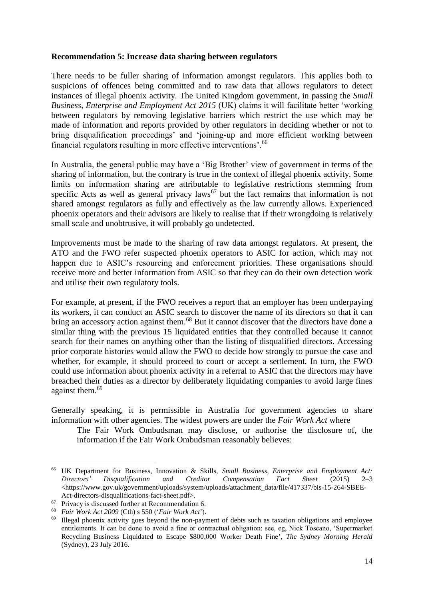#### **Recommendation 5: Increase data sharing between regulators**

There needs to be fuller sharing of information amongst regulators. This applies both to suspicions of offences being committed and to raw data that allows regulators to detect instances of illegal phoenix activity. The United Kingdom government, in passing the *Small Business, Enterprise and Employment Act 2015* (UK) claims it will facilitate better 'working between regulators by removing legislative barriers which restrict the use which may be made of information and reports provided by other regulators in deciding whether or not to bring disqualification proceedings' and 'joining-up and more efficient working between financial regulators resulting in more effective interventions'.<sup>66</sup>

In Australia, the general public may have a 'Big Brother' view of government in terms of the sharing of information, but the contrary is true in the context of illegal phoenix activity. Some limits on information sharing are attributable to legislative restrictions stemming from specific Acts as well as general privacy laws<sup>67</sup> but the fact remains that information is not shared amongst regulators as fully and effectively as the law currently allows. Experienced phoenix operators and their advisors are likely to realise that if their wrongdoing is relatively small scale and unobtrusive, it will probably go undetected.

Improvements must be made to the sharing of raw data amongst regulators. At present, the ATO and the FWO refer suspected phoenix operators to ASIC for action, which may not happen due to ASIC's resourcing and enforcement priorities. These organisations should receive more and better information from ASIC so that they can do their own detection work and utilise their own regulatory tools.

For example, at present, if the FWO receives a report that an employer has been underpaying its workers, it can conduct an ASIC search to discover the name of its directors so that it can bring an accessory action against them.<sup>68</sup> But it cannot discover that the directors have done a similar thing with the previous 15 liquidated entities that they controlled because it cannot search for their names on anything other than the listing of disqualified directors. Accessing prior corporate histories would allow the FWO to decide how strongly to pursue the case and whether, for example, it should proceed to court or accept a settlement. In turn, the FWO could use information about phoenix activity in a referral to ASIC that the directors may have breached their duties as a director by deliberately liquidating companies to avoid large fines against them.<sup>69</sup>

Generally speaking, it is permissible in Australia for government agencies to share information with other agencies. The widest powers are under the *Fair Work Act* where

The Fair Work Ombudsman may disclose, or authorise the disclosure of, the information if the Fair Work Ombudsman reasonably believes:

**<sup>.</sup>** <sup>66</sup> UK Department for Business, Innovation & Skills, *Small Business, Enterprise and Employment Act: Directors' Disqualification and Creditor Compensation Fact Sheet* (2015) 2–3  $\lt$ https://www.gov.uk/government/uploads/system/uploads/attachment\_data/file/417337/bis-15-264-SBEE-[Act-directors-disqualifications-fact-sheet.pdf>](https://www.gov.uk/government/uploads/system/uploads/attachment_data/file/417337/bis-15-264-SBEE-Act-directors-disqualifications-fact-sheet.pdf).

<sup>67</sup> Privacy is discussed further at Recommendation 6.

<sup>68</sup> *Fair Work Act 2009* (Cth) s 550 ('*Fair Work Act*').

Illegal phoenix activity goes beyond the non-payment of debts such as taxation obligations and employee entitlements. It can be done to avoid a fine or contractual obligation: see, eg, Nick Toscano, 'Supermarket Recycling Business Liquidated to Escape \$800,000 Worker Death Fine', *The Sydney Morning Herald* (Sydney), 23 July 2016.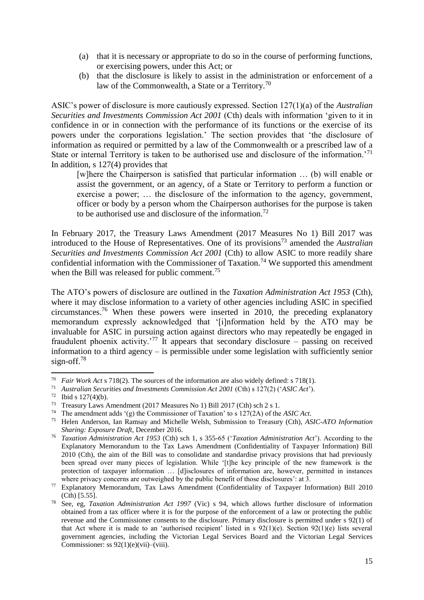- (a) that it is necessary or appropriate to do so in the course of performing functions, or exercising powers, under this Act; or
- (b) that the disclosure is likely to assist in the administration or enforcement of a law of the Commonwealth, a State or a Territory.<sup>70</sup>

ASIC's power of disclosure is more cautiously expressed. Section 127(1)(a) of the *Australian Securities and Investments Commission Act 2001* (Cth) deals with information 'given to it in confidence in or in connection with the performance of its functions or the exercise of its powers under the corporations legislation.' The section provides that 'the disclosure of information as required or permitted by a law of the Commonwealth or a prescribed law of a State or internal Territory is taken to be authorised use and disclosure of the information.<sup>'71</sup> In addition, s 127(4) provides that

[w]here the Chairperson is satisfied that particular information … (b) will enable or assist the government, or an agency, of a State or Territory to perform a function or exercise a power; … the disclosure of the information to the agency, government, officer or body by a person whom the Chairperson authorises for the purpose is taken to be authorised use and disclosure of the information.<sup>72</sup>

In February 2017, the Treasury Laws Amendment (2017 Measures No 1) Bill 2017 was introduced to the House of Representatives. One of its provisions<sup>73</sup> amended the *Australian Securities and Investments Commission Act 2001* (Cth) to allow ASIC to more readily share confidential information with the Commissioner of Taxation.<sup>74</sup> We supported this amendment when the Bill was released for public comment.<sup>75</sup>

The ATO's powers of disclosure are outlined in the *Taxation Administration Act 1953* (Cth), where it may disclose information to a variety of other agencies including ASIC in specified circumstances.<sup>76</sup> When these powers were inserted in 2010, the preceding explanatory memorandum expressly acknowledged that '[i]nformation held by the ATO may be invaluable for ASIC in pursuing action against directors who may repeatedly be engaged in fraudulent phoenix activity.'<sup>77</sup> It appears that secondary disclosure – passing on received information to a third agency – is permissible under some legislation with sufficiently senior sign-off.<sup>78</sup>

<sup>70</sup> <sup>70</sup> *Fair Work Act* s 718(2). The sources of the information are also widely defined: s 718(1).<br><sup>71</sup> Australian Securities and Investments Commission Act 2001 (Cth) s 127(2) ('ASIC Act')

<sup>71</sup> *Australian Securities and Investments Commission Act 2001* (Cth) s 127(2) ('*ASIC Act*').

Ibid s  $127(4)(b)$ .

<sup>73</sup> Treasury Laws Amendment (2017 Measures No 1) Bill 2017 (Cth) sch 2 s 1.

<sup>74</sup> The amendment adds '(g) the Commissioner of Taxation' to s 127(2A) of the *ASIC Act*.

<sup>75</sup> Helen Anderson, Ian Ramsay and Michelle Welsh, Submission to Treasury (Cth), *ASIC-ATO Information Sharing: Exposure Draft*, December 2016.

<sup>76</sup> *Taxation Administration Act 1953* (Cth) sch 1, s 355-65 ('*Taxation Administration Act*'). According to the Explanatory Memorandum to the Tax Laws Amendment (Confidentiality of Taxpayer Information) Bill 2010 (Cth), the aim of the Bill was to consolidate and standardise privacy provisions that had previously been spread over many pieces of legislation. While '[t]he key principle of the new framework is the protection of taxpayer information … [d]isclosures of information are, however, permitted in instances where privacy concerns are outweighed by the public benefit of those disclosures': at 3.

<sup>77</sup> Explanatory Memorandum, Tax Laws Amendment (Confidentiality of Taxpayer Information) Bill 2010 (Cth) [5.55].

<sup>78</sup> See, eg, *Taxation Administration Act 1997* (Vic) s 94, which allows further disclosure of information obtained from a tax officer where it is for the purpose of the enforcement of a law or protecting the public revenue and the Commissioner consents to the disclosure. Primary disclosure is permitted under s 92(1) of that Act where it is made to an 'authorised recipient' listed in s  $92(1)(e)$ . Section  $92(1)(e)$  lists several government agencies, including the Victorian Legal Services Board and the Victorian Legal Services Commissioner: ss  $92(1)(e)(vi)$ –(viii).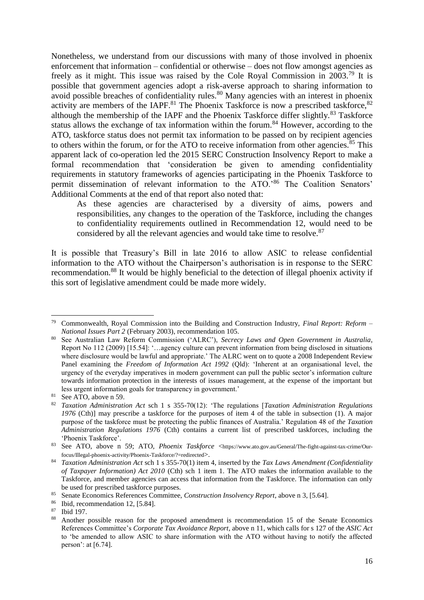Nonetheless, we understand from our discussions with many of those involved in phoenix enforcement that information – confidential or otherwise – does not flow amongst agencies as freely as it might. This issue was raised by the Cole Royal Commission in 2003.<sup>79</sup> It is possible that government agencies adopt a risk-averse approach to sharing information to avoid possible breaches of confidentiality rules. $80$  Many agencies with an interest in phoenix activity are members of the IAPF.<sup>81</sup> The Phoenix Taskforce is now a prescribed taskforce,  $82$ although the membership of the IAPF and the Phoenix Taskforce differ slightly.<sup>83</sup> Taskforce status allows the exchange of tax information within the forum.<sup>84</sup> However, according to the ATO, taskforce status does not permit tax information to be passed on by recipient agencies to others within the forum, or for the ATO to receive information from other agencies.<sup>85</sup> This apparent lack of co-operation led the 2015 SERC Construction Insolvency Report to make a formal recommendation that 'consideration be given to amending confidentiality requirements in statutory frameworks of agencies participating in the Phoenix Taskforce to permit dissemination of relevant information to the ATO.'<sup>86</sup> The Coalition Senators' Additional Comments at the end of that report also noted that:

As these agencies are characterised by a diversity of aims, powers and responsibilities, any changes to the operation of the Taskforce, including the changes to confidentiality requirements outlined in Recommendation 12, would need to be considered by all the relevant agencies and would take time to resolve.<sup>87</sup>

It is possible that Treasury's Bill in late 2016 to allow ASIC to release confidential information to the ATO without the Chairperson's authorisation is in response to the SERC recommendation.<sup>88</sup> It would be highly beneficial to the detection of illegal phoenix activity if this sort of legislative amendment could be made more widely.

<sup>79</sup> Commonwealth, Royal Commission into the Building and Construction Industry, *Final Report: Reform – National Issues Part 2* (February 2003), recommendation 105.

<sup>80</sup> See Australian Law Reform Commission ('ALRC'), *Secrecy Laws and Open Government in Australia*, Report No 112 (2009) [15.54]: '…agency culture can prevent information from being disclosed in situations where disclosure would be lawful and appropriate.' The ALRC went on to quote a 2008 Independent Review Panel examining the *Freedom of Information Act 1992* (Qld): 'Inherent at an organisational level, the urgency of the everyday imperatives in modern government can pull the public sector's information culture towards information protection in the interests of issues management, at the expense of the important but less urgent information goals for transparency in government.'

 $81$  See ATO, above n [59.](#page-10-0)

<sup>82</sup> *Taxation Administration Act* sch 1 s 355-70(12): 'The regulations [*Taxation Administration Regulations 1976* (Cth)] may prescribe a taskforce for the purposes of item 4 of the table in subsection (1). A major purpose of the taskforce must be protecting the public finances of Australia.' Regulation 48 of *the Taxation Administration Regulations 1976* (Cth) contains a current list of prescribed taskforces, including the 'Phoenix Taskforce'.

<sup>83</sup> See ATO, above n [59;](#page-10-0) ATO, *Phoenix Taskforce <[https://www.ato.gov.au/General/The-fight-against-tax-crime/Our](https://www.ato.gov.au/General/The-fight-against-tax-crime/Our-focus/Illegal-phoenix-activity/Phoenix-Taskforce/?=redirected)*[focus/Illegal-phoenix-activity/Phoenix-Taskforce/?=redirected](https://www.ato.gov.au/General/The-fight-against-tax-crime/Our-focus/Illegal-phoenix-activity/Phoenix-Taskforce/?=redirected)>.

<sup>84</sup> *Taxation Administration Act* sch 1 s 355-70(1) item 4, inserted by the *Tax Laws Amendment (Confidentiality of Taxpayer Information) Act 2010* (Cth) sch 1 item 1. The ATO makes the information available to the Taskforce, and member agencies can access that information from the Taskforce. The information can only be used for prescribed taskforce purposes.

<sup>85</sup> Senate Economics References Committee, *Construction Insolvency Report*, above [n 3,](#page-1-1) [5.64].

<sup>86</sup> Ibid, recommendation 12, [5.84].

 $\frac{87}{88}$  Ibid 197.

<sup>88</sup> Another possible reason for the proposed amendment is recommendation 15 of the Senate Economics References Committee's *Corporate Tax Avoidance Report*, above n [11,](#page-2-0) which calls for s 127 of the *ASIC Act* to 'be amended to allow ASIC to share information with the ATO without having to notify the affected person': at [6.74].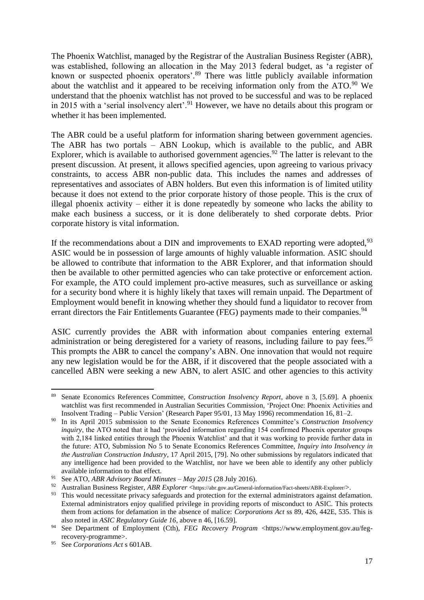<span id="page-16-0"></span>The Phoenix Watchlist, managed by the Registrar of the Australian Business Register (ABR), was established, following an allocation in the May 2013 federal budget, as 'a register of known or suspected phoenix operators'.<sup>89</sup> There was little publicly available information about the watchlist and it appeared to be receiving information only from the ATO.<sup>90</sup> We understand that the phoenix watchlist has not proved to be successful and was to be replaced in 2015 with a 'serial insolvency alert'.<sup>91</sup> However, we have no details about this program or whether it has been implemented.

The ABR could be a useful platform for information sharing between government agencies. The ABR has two portals – ABN Lookup, which is available to the public, and ABR Explorer, which is available to authorised government agencies.<sup>92</sup> The latter is relevant to the present discussion. At present, it allows specified agencies, upon agreeing to various privacy constraints, to access ABR non-public data. This includes the names and addresses of representatives and associates of ABN holders. But even this information is of limited utility because it does not extend to the prior corporate history of those people. This is the crux of illegal phoenix activity – either it is done repeatedly by someone who lacks the ability to make each business a success, or it is done deliberately to shed corporate debts. Prior corporate history is vital information.

If the recommendations about a DIN and improvements to EXAD reporting were adopted,  $93$ ASIC would be in possession of large amounts of highly valuable information. ASIC should be allowed to contribute that information to the ABR Explorer, and that information should then be available to other permitted agencies who can take protective or enforcement action. For example, the ATO could implement pro-active measures, such as surveillance or asking for a security bond where it is highly likely that taxes will remain unpaid. The Department of Employment would benefit in knowing whether they should fund a liquidator to recover from errant directors the Fair Entitlements Guarantee (FEG) payments made to their companies.<sup>94</sup>

ASIC currently provides the ABR with information about companies entering external administration or being deregistered for a variety of reasons, including failure to pay fees.<sup>95</sup> This prompts the ABR to cancel the company's ABN. One innovation that would not require any new legislation would be for the ABR, if it discovered that the people associated with a cancelled ABN were seeking a new ABN, to alert ASIC and other agencies to this activity

<sup>89</sup> Senate Economics References Committee, *Construction Insolvency Report*, above n [3,](#page-1-1) [5.69]. A phoenix watchlist was first recommended in Australian Securities Commission*,* 'Project One: Phoenix Activities and Insolvent Trading – Public Version' (Research Paper 95/01, 13 May 1996) recommendation 16, 81–2.

<sup>90</sup> In its April 2015 submission to the Senate Economics References Committee's *Construction Insolvency inquiry*, the ATO noted that it had 'provided information regarding 154 confirmed Phoenix operator groups with 2,184 linked entities through the Phoenix Watchlist' and that it was working to provide further data in the future: ATO, Submission No 5 to Senate Economics References Committee, *Inquiry into Insolvency in the Australian Construction Industry*, 17 April 2015, [79]. No other submissions by regulators indicated that any intelligence had been provided to the Watchlist, nor have we been able to identify any other publicly available information to that effect.

<sup>91</sup> See ATO, *ABR Advisory Board Minutes – May 2015* (28 July 2016).

<sup>92</sup> Australian Business Register, *ABR Explorer* <<https://abr.gov.au/General-information/Fact-sheets/ABR-Explorer/>>.

<sup>&</sup>lt;sup>93</sup> This would necessitate privacy safeguards and protection for the external administrators against defamation. External administrators enjoy qualified privilege in providing reports of misconduct to ASIC. This protects them from actions for defamation in the absence of malice: *Corporations Act* ss 89, 426, 442E, 535. This is also noted in *ASIC Regulatory Guide 16*, above n [46,](#page-8-1) [16.59].

<sup>&</sup>lt;sup>94</sup> See Department of Employment (Cth), *FEG Recovery Program* [<https://www.employment.gov.au/feg](https://www.employment.gov.au/feg-recovery-programme)[recovery-programme>](https://www.employment.gov.au/feg-recovery-programme).

<sup>95</sup> See *Corporations Act* s 601AB.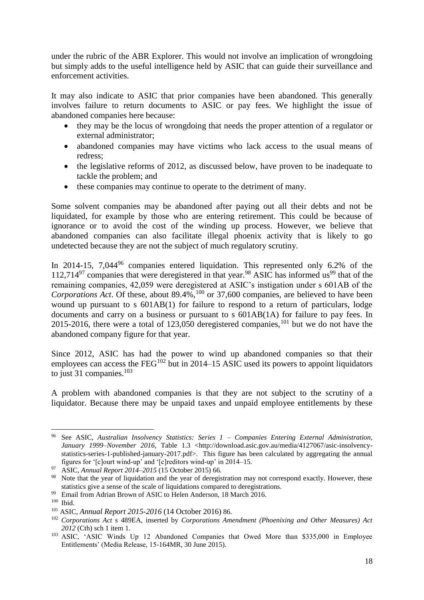under the rubric of the ABR Explorer. This would not involve an implication of wrongdoing but simply adds to the useful intelligence held by ASIC that can guide their surveillance and enforcement activities.

It may also indicate to ASIC that prior companies have been abandoned. This generally involves failure to return documents to ASIC or pay fees. We highlight the issue of abandoned companies here because:

- they may be the locus of wrongdoing that needs the proper attention of a regulator or external administrator;
- abandoned companies may have victims who lack access to the usual means of redress;
- the legislative reforms of 2012, as discussed below, have proven to be inadequate to tackle the problem; and
- these companies may continue to operate to the detriment of many.

Some solvent companies may be abandoned after paying out all their debts and not be liquidated, for example by those who are entering retirement. This could be because of ignorance or to avoid the cost of the winding up process. However, we believe that abandoned companies can also facilitate illegal phoenix activity that is likely to go undetected because they are not the subject of much regulatory scrutiny.

In 2014-15, 7,044<sup>96</sup> companies entered liquidation. This represented only 6.2% of the 112,714 $97$  companies that were deregistered in that year.  $98$  ASIC has informed us<sup>99</sup> that of the remaining companies, 42,059 were deregistered at ASIC's instigation under s 601AB of the *Corporations Act.* Of these, about 89.4%,<sup>100</sup> or 37,600 companies, are believed to have been wound up pursuant to s 601AB(1) for failure to respond to a return of particulars, lodge documents and carry on a business or pursuant to s 601AB(1A) for failure to pay fees. In 2015-2016, there were a total of  $123,050$  deregistered companies,<sup>101</sup> but we do not have the abandoned company figure for that year.

Since 2012, ASIC has had the power to wind up abandoned companies so that their employees can access the  $FEG^{102}$  but in 2014–15 ASIC used its powers to appoint liquidators to just 31 companies. $103$ 

A problem with abandoned companies is that they are not subject to the scrutiny of a liquidator. Because there may be unpaid taxes and unpaid employee entitlements by these

<sup>1</sup> <sup>96</sup> See ASIC, *Australian Insolvency Statistics: Series 1 – Companies Entering External Administration,*  January 1999–November 2016, Table 1.3 [<http://download.asic.gov.au/media/4127067/asic-insolvency](http://download.asic.gov.au/media/4127067/asic-insolvency-statistics-series-1-published-january-2017.pdf)[statistics-series-1-published-january-2017.pdf>](http://download.asic.gov.au/media/4127067/asic-insolvency-statistics-series-1-published-january-2017.pdf). This figure has been calculated by aggregating the annual figures for '[c]ourt wind-up' and '[c]reditors wind-up' in 2014–15.

<sup>97</sup> ASIC, *Annual Report 2014–2015* (15 October 2015) 66.

<sup>&</sup>lt;sup>98</sup> Note that the year of liquidation and the year of deregistration may not correspond exactly. However, these statistics give a sense of the scale of liquidations compared to deregistrations.

<sup>&</sup>lt;sup>99</sup> Email from Adrian Brown of ASIC to Helen Anderson, 18 March 2016.

<sup>100</sup> Ibid.

<sup>101</sup> ASIC, *Annual Report 2015-2016* (14 October 2016) 86.

<sup>102</sup> *Corporations Act* s 489EA, inserted by *Corporations Amendment (Phoenixing and Other Measures) Act 2012* (Cth) sch 1 item 1.

<sup>103</sup> ASIC, 'ASIC Winds Up 12 Abandoned Companies that Owed More than \$335,000 in Employee Entitlements' (Media Release, 15-164MR, 30 June 2015).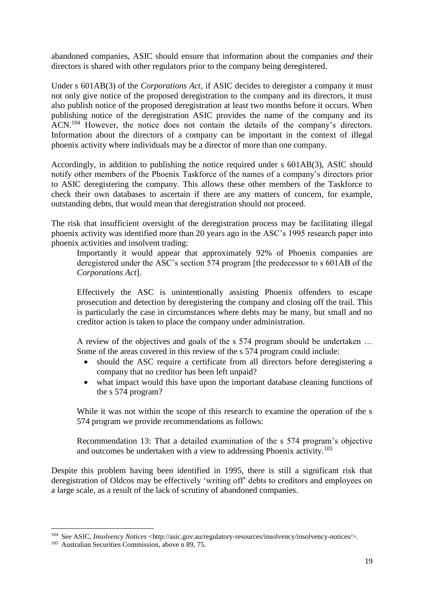abandoned companies, ASIC should ensure that information about the companies *and* their directors is shared with other regulators prior to the company being deregistered.

Under s 601AB(3) of the *Corporations Act*, if ASIC decides to deregister a company it must not only give notice of the proposed deregistration to the company and its directors, it must also publish notice of the proposed deregistration at least two months before it occurs. When publishing notice of the deregistration ASIC provides the name of the company and its ACN.<sup>104</sup> However, the notice does not contain the details of the company's directors. Information about the directors of a company can be important in the context of illegal phoenix activity where individuals may be a director of more than one company.

Accordingly, in addition to publishing the notice required under s 601AB(3), ASIC should notify other members of the Phoenix Taskforce of the names of a company's directors prior to ASIC deregistering the company. This allows these other members of the Taskforce to check their own databases to ascertain if there are any matters of concern, for example, outstanding debts, that would mean that deregistration should not proceed.

The risk that insufficient oversight of the deregistration process may be facilitating illegal phoenix activity was identified more than 20 years ago in the ASC's 1995 research paper into phoenix activities and insolvent trading:

Importantly it would appear that approximately 92% of Phoenix companies are deregistered under the ASC's section 574 program [the predecessor to s 601AB of the *Corporations Act*].

Effectively the ASC is unintentionally assisting Phoenix offenders to escape prosecution and detection by deregistering the company and closing off the trail. This is particularly the case in circumstances where debts may be many, but small and no creditor action is taken to place the company under administration.

A review of the objectives and goals of the s 574 program should be undertaken … Some of the areas covered in this review of the s 574 program could include:

- should the ASC require a certificate from all directors before deregistering a company that no creditor has been left unpaid?
- what impact would this have upon the important database cleaning functions of the s 574 program?

While it was not within the scope of this research to examine the operation of the s 574 program we provide recommendations as follows:

Recommendation 13: That a detailed examination of the s 574 program's objective and outcomes be undertaken with a view to addressing Phoenix activity.<sup>105</sup>

Despite this problem having been identified in 1995, there is still a significant risk that deregistration of Oldcos may be effectively 'writing off' debts to creditors and employees on a large scale, as a result of the lack of scrutiny of abandoned companies.

1

<sup>&</sup>lt;sup>104</sup> See ASIC, *Insolvency Notices* [<http://asic.gov.au/regulatory-resources/insolvency/insolvency-notices/>](http://asic.gov.au/regulatory-resources/insolvency/insolvency-notices/).

<sup>105</sup> Australian Securities Commission, above [n 89,](#page-16-0) 75.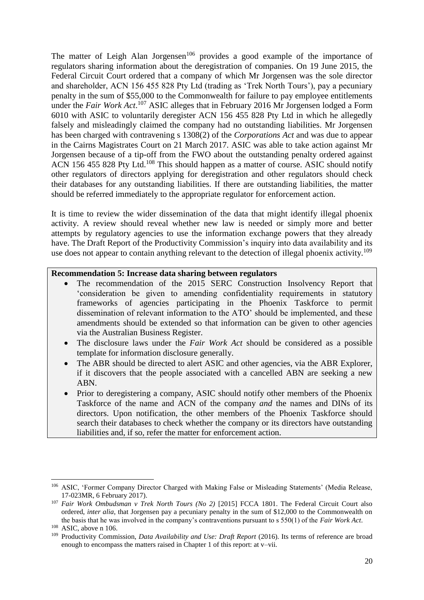<span id="page-19-0"></span>The matter of Leigh Alan Jorgensen<sup>106</sup> provides a good example of the importance of regulators sharing information about the deregistration of companies. On 19 June 2015, the Federal Circuit Court ordered that a company of which Mr Jorgensen was the sole director and shareholder, ACN 156 455 828 Pty Ltd (trading as 'Trek North Tours'), pay a pecuniary penalty in the sum of \$55,000 to the Commonwealth for failure to pay employee entitlements under the *Fair Work Act*. <sup>107</sup> ASIC alleges that in February 2016 Mr Jorgensen lodged a Form 6010 with ASIC to voluntarily deregister ACN 156 455 828 Pty Ltd in which he allegedly falsely and misleadingly claimed the company had no outstanding liabilities. Mr Jorgensen has been charged with contravening s 1308(2) of the *Corporations Act* and was due to appear in the Cairns Magistrates Court on 21 March 2017. ASIC was able to take action against Mr Jorgensen because of a tip-off from the FWO about the outstanding penalty ordered against ACN 156 455 828 Pty Ltd.<sup>108</sup> This should happen as a matter of course. ASIC should notify other regulators of directors applying for deregistration and other regulators should check their databases for any outstanding liabilities. If there are outstanding liabilities, the matter should be referred immediately to the appropriate regulator for enforcement action.

It is time to review the wider dissemination of the data that might identify illegal phoenix activity. A review should reveal whether new law is needed or simply more and better attempts by regulatory agencies to use the information exchange powers that they already have. The Draft Report of the Productivity Commission's inquiry into data availability and its use does not appear to contain anything relevant to the detection of illegal phoenix activity.<sup>109</sup>

#### **Recommendation 5: Increase data sharing between regulators**

- The recommendation of the 2015 SERC Construction Insolvency Report that 'consideration be given to amending confidentiality requirements in statutory frameworks of agencies participating in the Phoenix Taskforce to permit dissemination of relevant information to the ATO' should be implemented, and these amendments should be extended so that information can be given to other agencies via the Australian Business Register.
- The disclosure laws under the *Fair Work Act* should be considered as a possible template for information disclosure generally.
- The ABR should be directed to alert ASIC and other agencies, via the ABR Explorer, if it discovers that the people associated with a cancelled ABN are seeking a new ABN.
- Prior to deregistering a company, ASIC should notify other members of the Phoenix Taskforce of the name and ACN of the company *and* the names and DINs of its directors. Upon notification, the other members of the Phoenix Taskforce should search their databases to check whether the company or its directors have outstanding liabilities and, if so, refer the matter for enforcement action.

<sup>1</sup> <sup>106</sup> ASIC, 'Former Company Director Charged with Making False or Misleading Statements' (Media Release, 17-023MR, 6 February 2017).

<sup>&</sup>lt;sup>107</sup> Fair Work Ombudsman v Trek North Tours (No 2) [2015] FCCA 1801. The Federal Circuit Court also ordered, *inter alia*, that Jorgensen pay a pecuniary penalty in the sum of \$12,000 to the Commonwealth on the basis that he was involved in the company's contraventions pursuant to s 550(1) of the *Fair Work Act*.

<sup>108</sup> ASIC, above n [106.](#page-19-0)

<sup>109</sup> Productivity Commission, *Data Availability and Use: Draft Report* (2016). Its terms of reference are broad enough to encompass the matters raised in Chapter 1 of this report: at v–vii.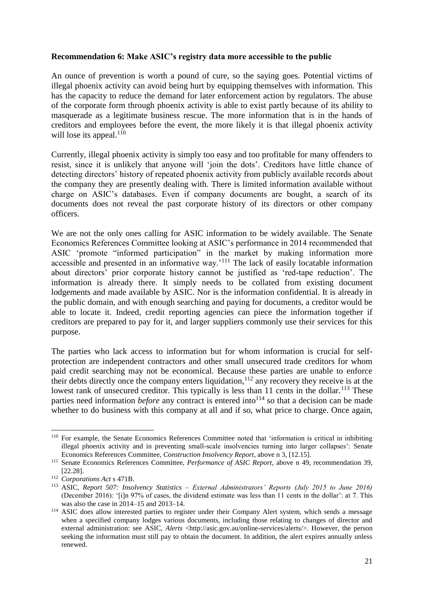## **Recommendation 6: Make ASIC's registry data more accessible to the public**

An ounce of prevention is worth a pound of cure, so the saying goes. Potential victims of illegal phoenix activity can avoid being hurt by equipping themselves with information. This has the capacity to reduce the demand for later enforcement action by regulators. The abuse of the corporate form through phoenix activity is able to exist partly because of its ability to masquerade as a legitimate business rescue. The more information that is in the hands of creditors and employees before the event, the more likely it is that illegal phoenix activity will lose its appeal. $110$ 

Currently, illegal phoenix activity is simply too easy and too profitable for many offenders to resist, since it is unlikely that anyone will 'join the dots'. Creditors have little chance of detecting directors' history of repeated phoenix activity from publicly available records about the company they are presently dealing with. There is limited information available without charge on ASIC's databases. Even if company documents are bought, a search of its documents does not reveal the past corporate history of its directors or other company officers.

We are not the only ones calling for ASIC information to be widely available. The Senate Economics References Committee looking at ASIC's performance in 2014 recommended that ASIC 'promote "informed participation" in the market by making information more accessible and presented in an informative way.'<sup>111</sup> The lack of easily locatable information about directors' prior corporate history cannot be justified as 'red-tape reduction'. The information is already there. It simply needs to be collated from existing document lodgements and made available by ASIC. Nor is the information confidential. It is already in the public domain, and with enough searching and paying for documents, a creditor would be able to locate it. Indeed, credit reporting agencies can piece the information together if creditors are prepared to pay for it, and larger suppliers commonly use their services for this purpose.

The parties who lack access to information but for whom information is crucial for selfprotection are independent contractors and other small unsecured trade creditors for whom paid credit searching may not be economical. Because these parties are unable to enforce their debts directly once the company enters liquidation,  $112$  any recovery they receive is at the lowest rank of unsecured creditor. This typically is less than 11 cents in the dollar.<sup>113</sup> These parties need information *before* any contract is entered into<sup>114</sup> so that a decision can be made whether to do business with this company at all and if so, what price to charge. Once again,

**<sup>.</sup>** <sup>110</sup> For example, the Senate Economics References Committee noted that 'information is critical in inhibiting illegal phoenix activity and in preventing small-scale insolvencies turning into larger collapses': Senate Economics References Committee, *Construction Insolvency Report*, above n [3,](#page-1-1) [12.15].

<sup>111</sup> Senate Economics References Committee, *Performance of ASIC Report*, above n [49,](#page-8-0) recommendation 39, [22.28].

<sup>112</sup> *Corporations Act* s 471B.

<sup>113</sup> ASIC, *Report 507: Insolvency Statistics – External Administrators' Reports (July 2015 to June 2016)* (December 2016): '[i]n 97% of cases, the dividend estimate was less than 11 cents in the dollar': at 7. This was also the case in 2014–15 and 2013–14.

<sup>&</sup>lt;sup>114</sup> ASIC does allow interested parties to register under their Company Alert system, which sends a message when a specified company lodges various documents, including those relating to changes of director and external administration: see ASIC, *Alerts* [<http://asic.gov.au/online-services/alerts/>](http://asic.gov.au/online-services/alerts/). However, the person seeking the information must still pay to obtain the document. In addition, the alert expires annually unless renewed.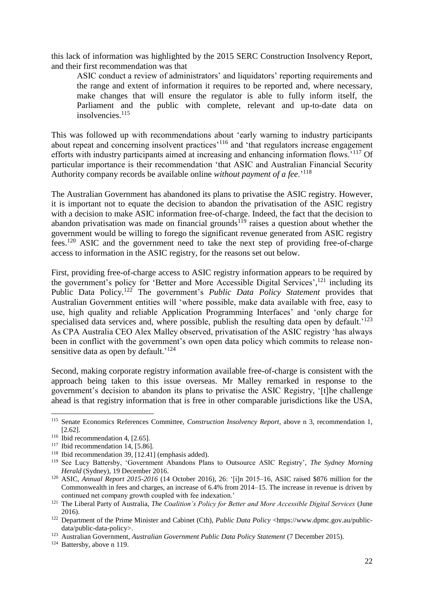this lack of information was highlighted by the 2015 SERC Construction Insolvency Report, and their first recommendation was that

ASIC conduct a review of administrators' and liquidators' reporting requirements and the range and extent of information it requires to be reported and, where necessary, make changes that will ensure the regulator is able to fully inform itself, the Parliament and the public with complete, relevant and up-to-date data on insolvencies.<sup>115</sup>

This was followed up with recommendations about 'early warning to industry participants about repeat and concerning insolvent practices<sup>'116</sup> and 'that regulators increase engagement efforts with industry participants aimed at increasing and enhancing information flows.'<sup>117</sup> Of particular importance is their recommendation 'that ASIC and Australian Financial Security Authority company records be available online *without payment of a fee*.'<sup>118</sup>

<span id="page-21-0"></span>The Australian Government has abandoned its plans to privatise the ASIC registry. However, it is important not to equate the decision to abandon the privatisation of the ASIC registry with a decision to make ASIC information free-of-charge. Indeed, the fact that the decision to abandon privatisation was made on financial grounds<sup>119</sup> raises a question about whether the government would be willing to forego the significant revenue generated from ASIC registry fees.<sup>120</sup> ASIC and the government need to take the next step of providing free-of-charge access to information in the ASIC registry, for the reasons set out below.

First, providing free-of-charge access to ASIC registry information appears to be required by the government's policy for 'Better and More Accessible Digital Services',<sup>121</sup> including its Public Data Policy.<sup>122</sup> The government's *Public Data Policy Statement* provides that Australian Government entities will 'where possible, make data available with free, easy to use, high quality and reliable Application Programming Interfaces' and 'only charge for specialised data services and, where possible, publish the resulting data open by default.<sup>'123</sup> As CPA Australia CEO Alex Malley observed, privatisation of the ASIC registry 'has always been in conflict with the government's own open data policy which commits to release nonsensitive data as open by default.<sup>'124</sup>

<span id="page-21-1"></span>Second, making corporate registry information available free-of-charge is consistent with the approach being taken to this issue overseas. Mr Malley remarked in response to the government's decision to abandon its plans to privatise the ASIC Registry, '[t]he challenge ahead is that registry information that is free in other comparable jurisdictions like the USA,

<sup>115</sup> Senate Economics References Committee, *Construction Insolvency Report*, above n [3,](#page-1-1) recommendation 1, [2.62].

<sup>&</sup>lt;sup>116</sup> Ibid recommendation 4, [2.65].

 $117$  Ibid recommendation 14, [5.86].

<sup>118</sup> Ibid recommendation 39, [12.41] (emphasis added).

<sup>119</sup> See Lucy Battersby, 'Government Abandons Plans to Outsource ASIC Registry', *The Sydney Morning Herald* (Sydney), 19 December 2016.

<sup>120</sup> ASIC, *Annual Report 2015-2016* (14 October 2016), 26: '[i]n 2015–16, ASIC raised \$876 million for the Commonwealth in fees and charges, an increase of 6.4% from 2014–15. The increase in revenue is driven by continued net company growth coupled with fee indexation.'

<sup>&</sup>lt;sup>121</sup> The Liberal Party of Australia, *The Coalition's Policy for Better and More Accessible Digital Services* (June 2016).

<sup>&</sup>lt;sup>122</sup> Department of the Prime Minister and Cabinet (Cth), *Public Data Policy* [<https://www.dpmc.gov.au/public](https://www.dpmc.gov.au/public-data/public-data-policy)[data/public-data-policy>](https://www.dpmc.gov.au/public-data/public-data-policy).

<sup>&</sup>lt;sup>123</sup> Australian Government, *Australian Government Public Data Policy Statement* (7 December 2015).

<sup>124</sup> Battersby, above n [119.](#page-21-0)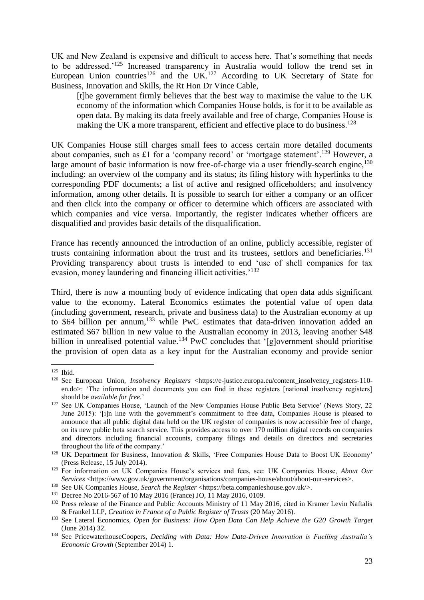UK and New Zealand is expensive and difficult to access here. That's something that needs to be addressed.'<sup>125</sup> Increased transparency in Australia would follow the trend set in European Union countries<sup>126</sup> and the UK.<sup>127</sup> According to UK Secretary of State for Business, Innovation and Skills, the Rt Hon Dr Vince Cable,

[t]he government firmly believes that the best way to maximise the value to the UK economy of the information which Companies House holds, is for it to be available as open data. By making its data freely available and free of charge, Companies House is making the UK a more transparent, efficient and effective place to do business.<sup>128</sup>

UK Companies House still charges small fees to access certain more detailed documents about companies, such as £1 for a 'company record' or 'mortgage statement'.<sup>129</sup> However, a large amount of basic information is now free-of-charge via a user friendly-search engine,  $130$ including: an overview of the company and its status; its filing history with hyperlinks to the corresponding PDF documents; a list of active and resigned officeholders; and insolvency information, among other details. It is possible to search for either a company or an officer and then click into the company or officer to determine which officers are associated with which companies and vice versa. Importantly, the register indicates whether officers are disqualified and provides basic details of the disqualification.

France has recently announced the introduction of an online, publicly accessible, register of trusts containing information about the trust and its trustees, settlors and beneficiaries.<sup>131</sup> Providing transparency about trusts is intended to end 'use of shell companies for tax evasion, money laundering and financing illicit activities.'<sup>132</sup>

Third, there is now a mounting body of evidence indicating that open data adds significant value to the economy. Lateral Economics estimates the potential value of open data (including government, research, private and business data) to the Australian economy at up to \$64 billion per annum,<sup>133</sup> while PwC estimates that data-driven innovation added an estimated \$67 billion in new value to the Australian economy in 2013, leaving another \$48 billion in unrealised potential value.<sup>134</sup> PwC concludes that '[g]overnment should prioritise the provision of open data as a key input for the Australian economy and provide senior

<sup>125</sup> Ibid.

<sup>126</sup> See European Union, *Insolvency Registers* [<https://e-justice.europa.eu/content\\_insolvency\\_registers-110](https://e-justice.europa.eu/content_insolvency_registers-110-en.do) [en.do>](https://e-justice.europa.eu/content_insolvency_registers-110-en.do): 'The information and documents you can find in these registers [national insolvency registers] should be *available for free.*'

<sup>&</sup>lt;sup>127</sup> See UK Companies House, 'Launch of the New Companies House Public Beta Service' (News Story, 22 June 2015): '[i]n line with the government's commitment to free data, Companies House is pleased to announce that all public digital data held on the UK register of companies is now accessible free of charge, on its new public beta search service. This provides access to over 170 million digital records on companies and directors including financial accounts, company filings and details on directors and secretaries throughout the life of the company.'

<sup>128</sup> UK Department for Business, Innovation & Skills, 'Free Companies House Data to Boost UK Economy' (Press Release, 15 July 2014).

<sup>129</sup> For information on UK Companies House's services and fees, see: UK Companies House, *About Our Services* [<https://www.gov.uk/government/organisations/companies-house/about/about-our-services>](https://www.gov.uk/government/organisations/companies-house/about/about-our-services).

<sup>&</sup>lt;sup>130</sup> See UK Companies House, *Search the Register* [<https://beta.companieshouse.gov.uk/>](https://beta.companieshouse.gov.uk/).

<sup>131</sup> Decree No 2016-567 of 10 May 2016 (France) JO, 11 May 2016, 0109.

<sup>&</sup>lt;sup>132</sup> Press release of the Finance and Public Accounts Ministry of 11 May 2016, cited in Kramer Levin Naftalis & Frankel LLP, *Creation in France of a Public Register of Trusts* (20 May 2016).

<sup>&</sup>lt;sup>133</sup> See Lateral Economics, *Open for Business: How Open Data Can Help Achieve the G20 Growth Target* (June 2014) 32.

<sup>134</sup> See PricewaterhouseCoopers, *Deciding with Data: How Data-Driven Innovation is Fuelling Australia's Economic Growth* (September 2014) 1.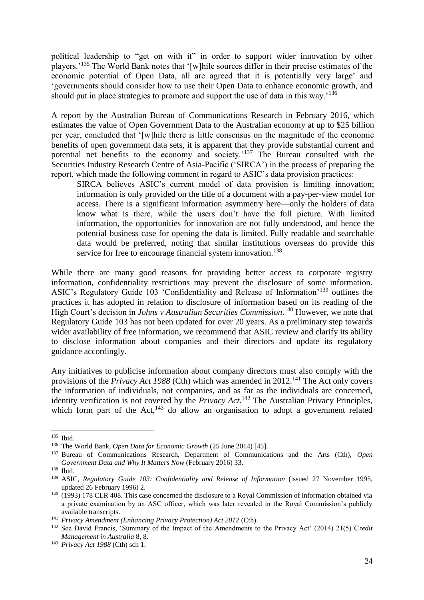political leadership to "get on with it" in order to support wider innovation by other players.'<sup>135</sup> The World Bank notes that '[w]hile sources differ in their precise estimates of the economic potential of Open Data, all are agreed that it is potentially very large' and 'governments should consider how to use their Open Data to enhance economic growth, and should put in place strategies to promote and support the use of data in this way.<sup>136</sup>

A report by the Australian Bureau of Communications Research in February 2016, which estimates the value of Open Government Data to the Australian economy at up to \$25 billion per year, concluded that '[w]hile there is little consensus on the magnitude of the economic benefits of open government data sets, it is apparent that they provide substantial current and potential net benefits to the economy and society.'<sup>137</sup> The Bureau consulted with the Securities Industry Research Centre of Asia-Pacific ('SIRCA') in the process of preparing the report, which made the following comment in regard to ASIC's data provision practices:

SIRCA believes ASIC's current model of data provision is limiting innovation; information is only provided on the title of a document with a pay-per-view model for access. There is a significant information asymmetry here—only the holders of data know what is there, while the users don't have the full picture. With limited information, the opportunities for innovation are not fully understood, and hence the potential business case for opening the data is limited. Fully readable and searchable data would be preferred, noting that similar institutions overseas do provide this service for free to encourage financial system innovation.<sup>138</sup>

While there are many good reasons for providing better access to corporate registry information, confidentiality restrictions may prevent the disclosure of some information. ASIC's Regulatory Guide 103 'Confidentiality and Release of Information'<sup>139</sup> outlines the practices it has adopted in relation to disclosure of information based on its reading of the High Court's decision in *Johns v Australian Securities Commission*. <sup>140</sup> However, we note that Regulatory Guide 103 has not been updated for over 20 years. As a preliminary step towards wider availability of free information, we recommend that ASIC review and clarify its ability to disclose information about companies and their directors and update its regulatory guidance accordingly.

Any initiatives to publicise information about company directors must also comply with the provisions of the *Privacy Act 1988* (Cth) which was amended in 2012.<sup>141</sup> The Act only covers the information of individuals, not companies, and as far as the individuals are concerned, identity verification is not covered by the *Privacy Act*. <sup>142</sup> The Australian Privacy Principles, which form part of the Act, $143$  do allow an organisation to adopt a government related

<sup>135</sup> Ibid.

<sup>136</sup> The World Bank, *Open Data for Economic Growth* (25 June 2014) [45].

<sup>137</sup> Bureau of Communications Research, Department of Communications and the Arts (Cth), *Open Government Data and Why It Matters Now* (February 2016) 33.

<sup>138</sup> Ibid.

<sup>&</sup>lt;sup>139</sup> ASIC, *Regulatory Guide 103: Confidentiality and Release of Information* (issued 27 November 1995, updated 26 February 1996) 2.

<sup>&</sup>lt;sup>140</sup> (1993) 178 CLR 408. This case concerned the disclosure to a Royal Commission of information obtained via a private examination by an ASC officer, which was later revealed in the Royal Commission's publicly available transcripts.

<sup>141</sup> *Privacy Amendment (Enhancing Privacy Protection) Act 2012* (Cth).

<sup>142</sup> See David Francis, 'Summary of the Impact of the Amendments to the Privacy Act' (2014) 21(5) C*redit Management in Australia* 8, 8.

<sup>143</sup> *Privacy Act 1988* (Cth) sch 1.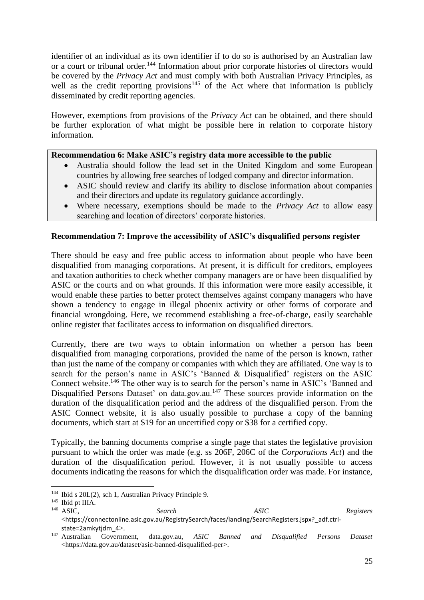identifier of an individual as its own identifier if to do so is authorised by an Australian law or a court or tribunal order.<sup>144</sup> Information about prior corporate histories of directors would be covered by the *Privacy Act* and must comply with both Australian Privacy Principles, as well as the credit reporting provisions<sup>145</sup> of the Act where that information is publicly disseminated by credit reporting agencies.

However, exemptions from provisions of the *Privacy Act* can be obtained, and there should be further exploration of what might be possible here in relation to corporate history information.

## **Recommendation 6: Make ASIC's registry data more accessible to the public**

- Australia should follow the lead set in the United Kingdom and some European countries by allowing free searches of lodged company and director information.
- ASIC should review and clarify its ability to disclose information about companies and their directors and update its regulatory guidance accordingly.
- Where necessary, exemptions should be made to the *Privacy Act* to allow easy searching and location of directors' corporate histories.

## **Recommendation 7: Improve the accessibility of ASIC's disqualified persons register**

There should be easy and free public access to information about people who have been disqualified from managing corporations. At present, it is difficult for creditors, employees and taxation authorities to check whether company managers are or have been disqualified by ASIC or the courts and on what grounds. If this information were more easily accessible, it would enable these parties to better protect themselves against company managers who have shown a tendency to engage in illegal phoenix activity or other forms of corporate and financial wrongdoing. Here, we recommend establishing a free-of-charge, easily searchable online register that facilitates access to information on disqualified directors.

<span id="page-24-0"></span>Currently, there are two ways to obtain information on whether a person has been disqualified from managing corporations, provided the name of the person is known, rather than just the name of the company or companies with which they are affiliated. One way is to search for the person's name in ASIC's 'Banned & Disqualified' registers on the ASIC Connect website.<sup>146</sup> The other way is to search for the person's name in ASIC's 'Banned and Disqualified Persons Dataset' on data.gov.au.<sup>147</sup> These sources provide information on the duration of the disqualification period and the address of the disqualified person. From the ASIC Connect website, it is also usually possible to purchase a copy of the banning documents, which start at \$19 for an uncertified copy or \$38 for a certified copy.

Typically, the banning documents comprise a single page that states the legislative provision pursuant to which the order was made (e.g. ss 206F, 206C of the *Corporations Act*) and the duration of the disqualification period. However, it is not usually possible to access documents indicating the reasons for which the disqualification order was made. For instance,

<sup>144</sup> Ibid s 20L(2), sch 1, Australian Privacy Principle 9.

 $145$  Ibid pt IIIA.<br> $146$  ASIC, <sup>146</sup> ASIC, *Search ASIC Registers* <[https://connectonline.asic.gov.au/RegistrySearch/faces/landing/SearchRegisters.jspx?\\_adf.ctrl](https://connectonline.asic.gov.au/RegistrySearch/faces/landing/SearchRegisters.jspx?_adf.ctrl-state=2amkytjdm_4)[state=2amkytjdm\\_4](https://connectonline.asic.gov.au/RegistrySearch/faces/landing/SearchRegisters.jspx?_adf.ctrl-state=2amkytjdm_4)>.

<sup>147</sup> Australian Government, data.gov.au, *ASIC Banned and Disqualified Persons Dataset*  [<https://data.gov.au/dataset/asic-banned-disqualified-per>](https://data.gov.au/dataset/asic-banned-disqualified-per).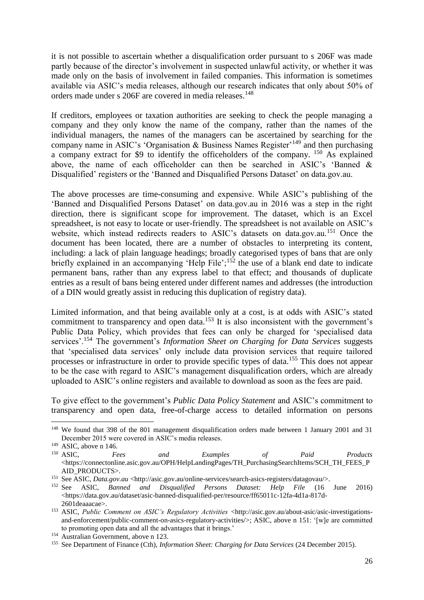it is not possible to ascertain whether a disqualification order pursuant to s 206F was made partly because of the director's involvement in suspected unlawful activity, or whether it was made only on the basis of involvement in failed companies. This information is sometimes available via ASIC's media releases, although our research indicates that only about 50% of orders made under s 206F are covered in media releases.<sup>148</sup>

If creditors, employees or taxation authorities are seeking to check the people managing a company and they only know the name of the company, rather than the names of the individual managers, the names of the managers can be ascertained by searching for the company name in ASIC's 'Organisation & Business Names Register'<sup>149</sup> and then purchasing a company extract for \$9 to identify the officeholders of the company. <sup>150</sup> As explained above, the name of each officeholder can then be searched in ASIC's 'Banned & Disqualified' registers or the 'Banned and Disqualified Persons Dataset' on data.gov.au.

<span id="page-25-0"></span>The above processes are time-consuming and expensive. While ASIC's publishing of the 'Banned and Disqualified Persons Dataset' on data.gov.au in 2016 was a step in the right direction, there is significant scope for improvement. The dataset, which is an Excel spreadsheet, is not easy to locate or user-friendly. The spreadsheet is not available on ASIC's website, which instead redirects readers to ASIC's datasets on data.gov.au.<sup>151</sup> Once the document has been located, there are a number of obstacles to interpreting its content, including: a lack of plain language headings; broadly categorised types of bans that are only briefly explained in an accompanying 'Help File';<sup>152</sup> the use of a blank end date to indicate permanent bans, rather than any express label to that effect; and thousands of duplicate entries as a result of bans being entered under different names and addresses (the introduction of a DIN would greatly assist in reducing this duplication of registry data).

Limited information, and that being available only at a cost, is at odds with ASIC's stated commitment to transparency and open data.<sup>153</sup> It is also inconsistent with the government's Public Data Policy, which provides that fees can only be charged for 'specialised data services'.<sup>154</sup> The government's *Information Sheet on Charging for Data Services* suggests that 'specialised data services' only include data provision services that require tailored processes or infrastructure in order to provide specific types of data.<sup>155</sup> This does not appear to be the case with regard to ASIC's management disqualification orders, which are already uploaded to ASIC's online registers and available to download as soon as the fees are paid.

To give effect to the government's *Public Data Policy Statement* and ASIC's commitment to transparency and open data, free-of-charge access to detailed information on persons

1

<sup>&</sup>lt;sup>148</sup> We found that 398 of the 801 management disqualification orders made between 1 January 2001 and 31 December 2015 were covered in ASIC's media releases.

<sup>&</sup>lt;sup>149</sup> ASIC, above n [146.](#page-24-0)<br><sup>150</sup> ASIC, Fe

<sup>150</sup> ASIC, *Fees and Examples of Paid Products*  $\lt$ https://connectonline.asic.gov.au/OPH/HelpLandingPages/TH\_PurchasingSearchItems/SCH\_TH\_FEES\_P [AID\\_PRODUCTS>](https://connectonline.asic.gov.au/OPH/HelpLandingPages/TH_PurchasingSearchItems/SCH_TH_FEES_PAID_PRODUCTS).

<sup>151</sup> See ASIC, *Data.gov.au* [<http://asic.gov.au/online-services/search-asics-registers/datagovau/>](http://asic.gov.au/online-services/search-asics-registers/datagovau/).

<sup>152</sup> See ASIC, *Banned and Disqualified Persons Dataset: Help File* (16 June 2016) [<https://data.gov.au/dataset/asic-banned-disqualified-per/resource/ff65011c-12fa-4d1a-817d-](https://data.gov.au/dataset/asic-banned-disqualified-per/resource/ff65011c-12fa-4d1a-817d-2601deaaacae)[2601deaaacae>](https://data.gov.au/dataset/asic-banned-disqualified-per/resource/ff65011c-12fa-4d1a-817d-2601deaaacae).

<sup>153</sup> ASIC, *Public Comment on ASIC's Regulatory Activities* [<http://asic.gov.au/about-asic/asic-investigations](http://asic.gov.au/about-asic/asic-investigations-and-enforcement/public-comment-on-asics-regulatory-activities/)[and-enforcement/public-comment-on-asics-regulatory-activities/>](http://asic.gov.au/about-asic/asic-investigations-and-enforcement/public-comment-on-asics-regulatory-activities/); ASIC, above n [151:](#page-25-0) '[w]e are committed to promoting open data and all the advantages that it brings.'

<sup>&</sup>lt;sup>154</sup> Australian Government, above n [123.](#page-21-1)

<sup>155</sup> See Department of Finance (Cth), *Information Sheet: Charging for Data Services* (24 December 2015).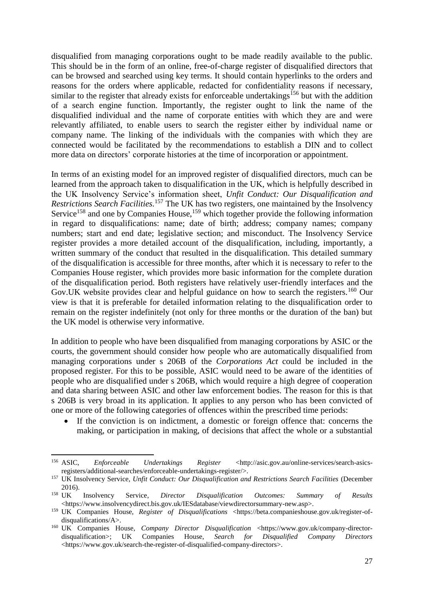disqualified from managing corporations ought to be made readily available to the public. This should be in the form of an online, free-of-charge register of disqualified directors that can be browsed and searched using key terms. It should contain hyperlinks to the orders and reasons for the orders where applicable, redacted for confidentiality reasons if necessary, similar to the register that already exists for enforceable undertakings<sup>156</sup> but with the addition of a search engine function. Importantly, the register ought to link the name of the disqualified individual and the name of corporate entities with which they are and were relevantly affiliated, to enable users to search the register either by individual name or company name. The linking of the individuals with the companies with which they are connected would be facilitated by the recommendations to establish a DIN and to collect more data on directors' corporate histories at the time of incorporation or appointment.

In terms of an existing model for an improved register of disqualified directors, much can be learned from the approach taken to disqualification in the UK, which is helpfully described in the UK Insolvency Service's information sheet, *Unfit Conduct: Our Disqualification and Restrictions Search Facilities.*<sup>157</sup> The UK has two registers, one maintained by the Insolvency Service<sup>158</sup> and one by Companies House,<sup>159</sup> which together provide the following information in regard to disqualifications: name; date of birth; address; company names; company numbers; start and end date; legislative section; and misconduct. The Insolvency Service register provides a more detailed account of the disqualification, including, importantly, a written summary of the conduct that resulted in the disqualification. This detailed summary of the disqualification is accessible for three months, after which it is necessary to refer to the Companies House register, which provides more basic information for the complete duration of the disqualification period. Both registers have relatively user-friendly interfaces and the Gov. UK website provides clear and helpful guidance on how to search the registers.<sup>160</sup> Our view is that it is preferable for detailed information relating to the disqualification order to remain on the register indefinitely (not only for three months or the duration of the ban) but the UK model is otherwise very informative.

In addition to people who have been disqualified from managing corporations by ASIC or the courts, the government should consider how people who are automatically disqualified from managing corporations under s 206B of the *Corporations Act* could be included in the proposed register. For this to be possible, ASIC would need to be aware of the identities of people who are disqualified under s 206B, which would require a high degree of cooperation and data sharing between ASIC and other law enforcement bodies. The reason for this is that s 206B is very broad in its application. It applies to any person who has been convicted of one or more of the following categories of offences within the prescribed time periods:

 If the conviction is on indictment, a domestic or foreign offence that: concerns the making, or participation in making, of decisions that affect the whole or a substantial

1

<sup>156</sup> ASIC, *Enforceable Undertakings Register* [<http://asic.gov.au/online-services/search-asics](http://asic.gov.au/online-services/search-asics-registers/additional-searches/enforceable-undertakings-register/)[registers/additional-searches/enforceable-undertakings-register/>](http://asic.gov.au/online-services/search-asics-registers/additional-searches/enforceable-undertakings-register/).

<sup>&</sup>lt;sup>157</sup> UK Insolvency Service, *Unfit Conduct: Our Disqualification and Restrictions Search Facilities* (December 2016).<br> $158$  UK

<sup>158</sup> UK Insolvency Service, *Director Disqualification Outcomes: Summary of Results*  [<https://www.insolvencydirect.bis.gov.uk/IESdatabase/viewdirectorsummary-new.asp>](https://www.insolvencydirect.bis.gov.uk/IESdatabase/viewdirectorsummary-new.asp).

<sup>&</sup>lt;sup>159</sup> UK Companies House, *Register of Disqualifications* [<https://beta.companieshouse.gov.uk/register-of](https://beta.companieshouse.gov.uk/register-of-disqualifications/A)[disqualifications/A>](https://beta.companieshouse.gov.uk/register-of-disqualifications/A).

<sup>&</sup>lt;sup>160</sup> UK Companies House, *Company Director Disqualification* [<https://www.gov.uk/company-director](https://www.gov.uk/company-director-disqualification)[disqualification>](https://www.gov.uk/company-director-disqualification); UK Companies House, *Search for Disqualified Company Directors* [<https://www.gov.uk/search-the-register-of-disqualified-company-directors>](https://www.gov.uk/search-the-register-of-disqualified-company-directors).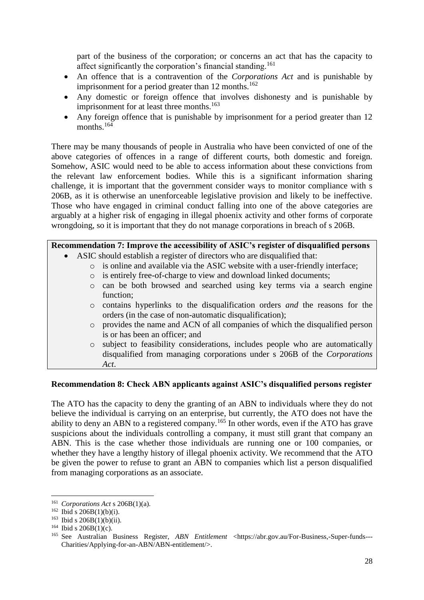part of the business of the corporation; or concerns an act that has the capacity to affect significantly the corporation's financial standing.<sup>161</sup>

- An offence that is a contravention of the *Corporations Act* and is punishable by imprisonment for a period greater than 12 months.<sup>162</sup>
- Any domestic or foreign offence that involves dishonesty and is punishable by imprisonment for at least three months.<sup>163</sup>
- Any foreign offence that is punishable by imprisonment for a period greater than 12 months.<sup>164</sup>

There may be many thousands of people in Australia who have been convicted of one of the above categories of offences in a range of different courts, both domestic and foreign. Somehow, ASIC would need to be able to access information about these convictions from the relevant law enforcement bodies. While this is a significant information sharing challenge, it is important that the government consider ways to monitor compliance with s 206B, as it is otherwise an unenforceable legislative provision and likely to be ineffective. Those who have engaged in criminal conduct falling into one of the above categories are arguably at a higher risk of engaging in illegal phoenix activity and other forms of corporate wrongdoing, so it is important that they do not manage corporations in breach of s 206B.

## **Recommendation 7: Improve the accessibility of ASIC's register of disqualified persons**

- ASIC should establish a register of directors who are disqualified that:
	- o is online and available via the ASIC website with a user-friendly interface;
	- o is entirely free-of-charge to view and download linked documents;
	- o can be both browsed and searched using key terms via a search engine function;
	- o contains hyperlinks to the disqualification orders *and* the reasons for the orders (in the case of non-automatic disqualification);
	- o provides the name and ACN of all companies of which the disqualified person is or has been an officer; and
	- o subject to feasibility considerations, includes people who are automatically disqualified from managing corporations under s 206B of the *Corporations Act*.

#### **Recommendation 8: Check ABN applicants against ASIC's disqualified persons register**

The ATO has the capacity to deny the granting of an ABN to individuals where they do not believe the individual is carrying on an enterprise, but currently, the ATO does not have the ability to deny an ABN to a registered company.<sup>165</sup> In other words, even if the ATO has grave suspicions about the individuals controlling a company, it must still grant that company an ABN. This is the case whether those individuals are running one or 100 companies, or whether they have a lengthy history of illegal phoenix activity. We recommend that the ATO be given the power to refuse to grant an ABN to companies which list a person disqualified from managing corporations as an associate.

<sup>161</sup> *Corporations Act* s 206B(1)(a).

 $162$  Ibid s 206B(1)(b)(i).

 $163$  Ibid s 206B(1)(b)(ii).

 $164$  Ibid s 206B(1)(c).

<sup>165</sup> See Australian Business Register, *ABN Entitlement* [<https://abr.gov.au/For-Business,-Super-funds---](https://abr.gov.au/For-Business,-Super-funds---Charities/Applying-for-an-ABN/ABN-entitlement/) [Charities/Applying-for-an-ABN/ABN-entitlement/>](https://abr.gov.au/For-Business,-Super-funds---Charities/Applying-for-an-ABN/ABN-entitlement/).